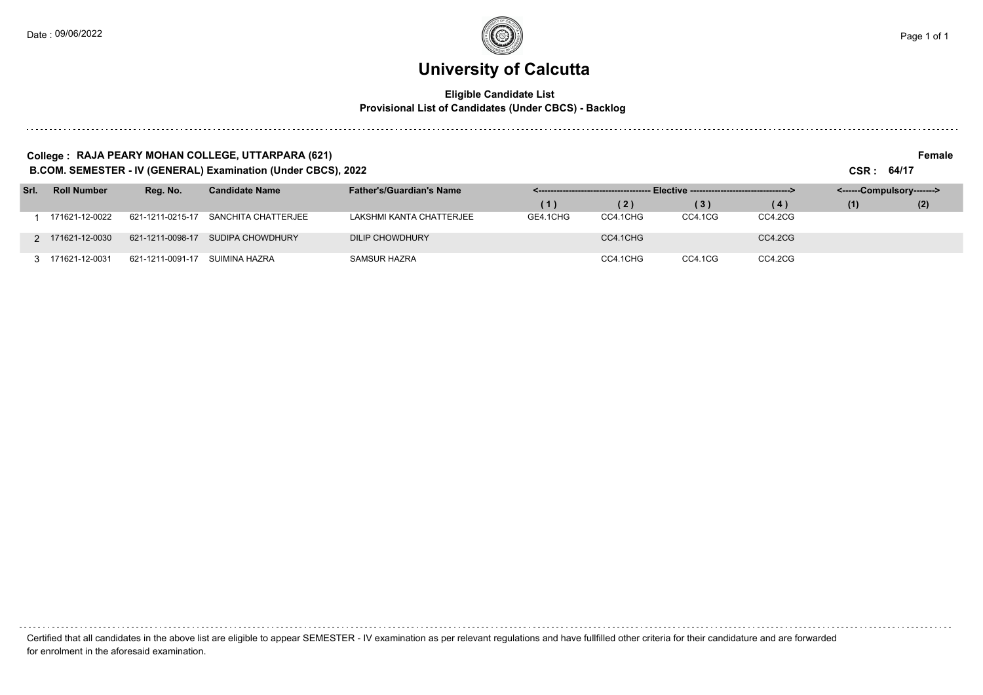### **University of Calcutta**

#### **Eligible Candidate List Provisional List of Candidates (Under CBCS) - Backlog**

#### **College : RAJA PEARY MOHAN COLLEGE, UTTARPARA (621) Female**

**B.COM. SEMESTER - IV (GENERAL) Examination (Under CBCS), 2022 CSR : 64/17**

| Srl. | <b>Roll Number</b> | Reg. No.         | <b>Candidate Name</b> | <b>Father's/Guardian's Name</b> |          |          | - Elective ----------------------------------> |         | <------Compulsory-------> |     |
|------|--------------------|------------------|-----------------------|---------------------------------|----------|----------|------------------------------------------------|---------|---------------------------|-----|
|      |                    |                  |                       |                                 | (1)      | (2)      | (3)                                            | (4)     | (1)                       | (2) |
|      | 171621-12-0022     | 621-1211-0215-17 | SANCHITA CHATTERJEE   | LAKSHMI KANTA CHATTERJEE        | GE4.1CHG | CC4.1CHG | CC4.1CG                                        | CC4.2CG |                           |     |
|      | 2 171621-12-0030   | 621-1211-0098-17 | SUDIPA CHOWDHURY      | DILIP CHOWDHURY                 |          | CC4.1CHG |                                                | CC4.2CG |                           |     |
|      | 3 171621-12-0031   | 621-1211-0091-17 | SUIMINA HAZRA         | SAMSUR HAZRA                    |          | CC4.1CHG | CC4.1CG                                        | CC4.2CG |                           |     |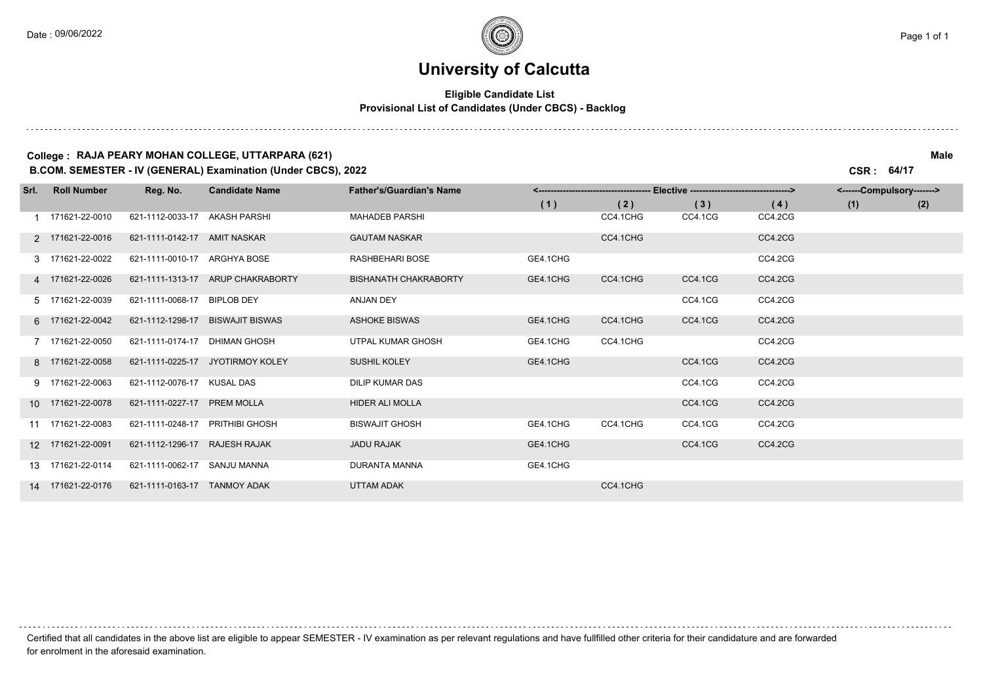### **University of Calcutta**

#### **Eligible Candidate List Provisional List of Candidates (Under CBCS) - Backlog**

#### **College : RAJA PEARY MOHAN COLLEGE, UTTARPARA (621) Male**

**B.COM. SEMESTER - IV (GENERAL) Examination (Under CBCS), 2022 CSR : 64/17**

| Srl. | <b>Roll Number</b> | Reg. No.                      | <b>Candidate Name</b>             | <b>Father's/Guardian's Name</b> |          |          |         |         | <------Compulsory-------> |     |
|------|--------------------|-------------------------------|-----------------------------------|---------------------------------|----------|----------|---------|---------|---------------------------|-----|
|      |                    |                               |                                   |                                 | (1)      | (2)      | (3)     | (4)     | (1)                       | (2) |
|      | 1 171621-22-0010   | 621-1112-0033-17              | AKASH PARSHI                      | MAHADEB PARSHI                  |          | CC4.1CHG | CC4.1CG | CC4.2CG |                           |     |
|      | 2 171621-22-0016   | 621-1111-0142-17 AMIT NASKAR  |                                   | <b>GAUTAM NASKAR</b>            |          | CC4.1CHG |         | CC4.2CG |                           |     |
|      | 3 171621-22-0022   | 621-1111-0010-17 ARGHYA BOSE  |                                   | RASHBEHARI BOSE                 | GE4.1CHG |          |         | CC4.2CG |                           |     |
|      | 4 171621-22-0026   |                               | 621-1111-1313-17 ARUP CHAKRABORTY | <b>BISHANATH CHAKRABORTY</b>    | GE4.1CHG | CC4.1CHG | CC4.1CG | CC4.2CG |                           |     |
|      | 5 171621-22-0039   | 621-1111-0068-17              | <b>BIPLOB DEY</b>                 | ANJAN DEY                       |          |          | CC4.1CG | CC4.2CG |                           |     |
|      | 6 171621-22-0042   | 621-1112-1298-17              | <b>BISWAJIT BISWAS</b>            | <b>ASHOKE BISWAS</b>            | GE4.1CHG | CC4.1CHG | CC4.1CG | CC4.2CG |                           |     |
|      | 7 171621-22-0050   | 621-1111-0174-17              | DHIMAN GHOSH                      | UTPAL KUMAR GHOSH               | GE4.1CHG | CC4.1CHG |         | CC4.2CG |                           |     |
|      | 8 171621-22-0058   |                               | 621-1111-0225-17 JYOTIRMOY KOLEY  | <b>SUSHIL KOLEY</b>             | GE4.1CHG |          | CC4.1CG | CC4.2CG |                           |     |
|      | 9 171621-22-0063   | 621-1112-0076-17              | KUSAL DAS                         | <b>DILIP KUMAR DAS</b>          |          |          | CC4.1CG | CC4.2CG |                           |     |
|      | 10 171621-22-0078  | 621-1111-0227-17 PREM MOLLA   |                                   | <b>HIDER ALI MOLLA</b>          |          |          | CC4.1CG | CC4.2CG |                           |     |
|      | 11 171621-22-0083  | 621-1111-0248-17              | <b>PRITHIBI GHOSH</b>             | <b>BISWAJIT GHOSH</b>           | GE4.1CHG | CC4.1CHG | CC4.1CG | CC4.2CG |                           |     |
|      | 12 171621-22-0091  | 621-1112-1296-17 RAJESH RAJAK |                                   | <b>JADU RAJAK</b>               | GE4.1CHG |          | CC4.1CG | CC4.2CG |                           |     |
|      | 13 171621-22-0114  | 621-1111-0062-17 SANJU MANNA  |                                   | <b>DURANTA MANNA</b>            | GE4.1CHG |          |         |         |                           |     |
|      | 14 171621-22-0176  | 621-1111-0163-17 TANMOY ADAK  |                                   | <b>UTTAM ADAK</b>               |          | CC4.1CHG |         |         |                           |     |

Certified that all candidates in the above list are eligible to appear SEMESTER - IV examination as per relevant regulations and have fullfilled other criteria for their candidature and are forwarded for enrolment in the aforesaid examination.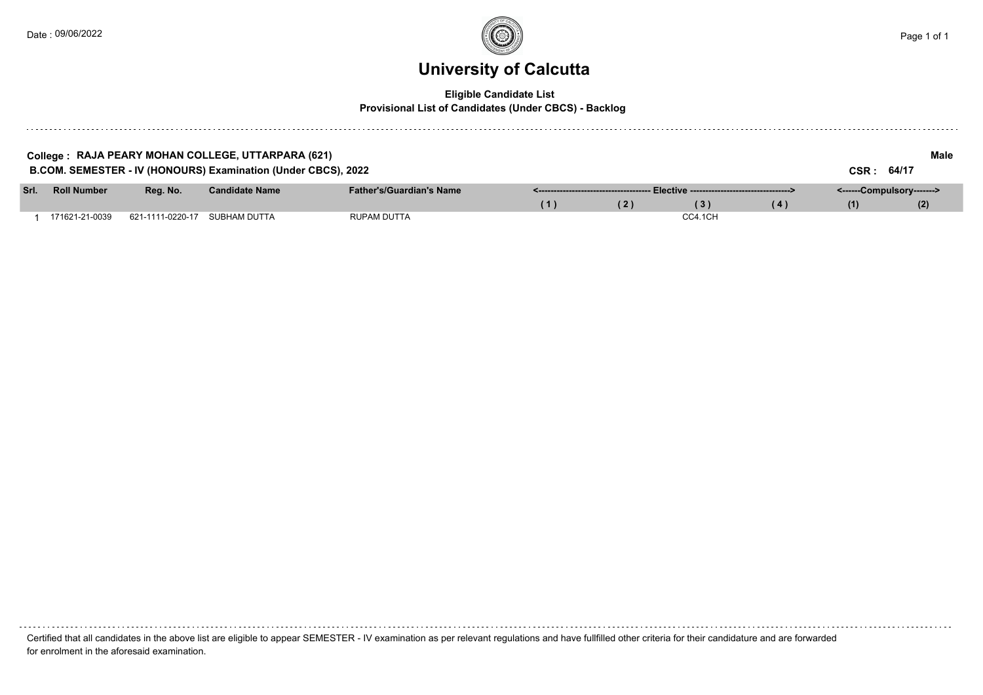### **University of Calcutta**

### **Eligible Candidate List**

#### **Provisional List of Candidates (Under CBCS) - Backlog**

|      |                    |                               | College : RAJA PEARY MOHAN COLLEGE, UTTARPARA (621)           |                                 |     |     |         |     |                           | Male |
|------|--------------------|-------------------------------|---------------------------------------------------------------|---------------------------------|-----|-----|---------|-----|---------------------------|------|
|      |                    |                               | B.COM. SEMESTER - IV (HONOURS) Examination (Under CBCS), 2022 |                                 |     |     |         |     | CSR: 64/17                |      |
| Srl. | <b>Roll Number</b> | Rea. No.                      | <b>Candidate Name</b>                                         | <b>Father's/Guardian's Name</b> |     |     |         |     | <------Compulsory-------> |      |
|      |                    |                               |                                                               |                                 | (1) | (2) | (3)     | (4) | (1)                       | (2)  |
|      | 171621-21-0039     | 621-1111-0220-17 SUBHAM DUTTA |                                                               | RUPAM DUTTA                     |     |     | CC4.1CH |     |                           |      |

Certified that all candidates in the above list are eligible to appear SEMESTER - IV examination as per relevant regulations and have fullfilled other criteria for their candidature and are forwarded for enrolment in the aforesaid examination.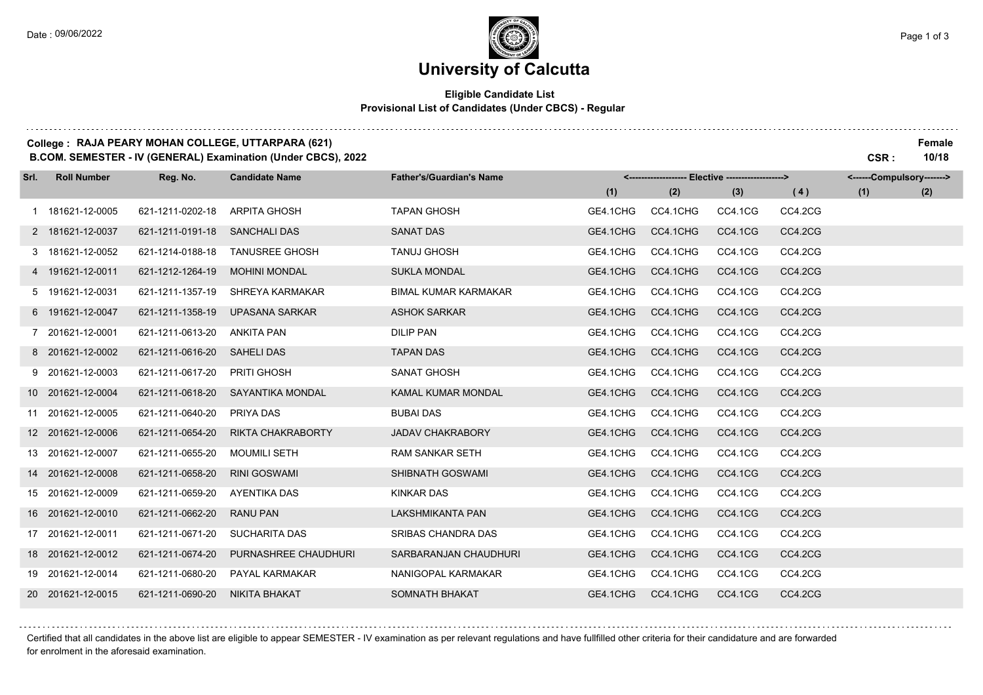# **University of Calcutta**

### **Eligible Candidate List Provisional List of Candidates (Under CBCS) - Regular**

### **College : RAJA PEARY MOHAN COLLEGE, UTTARPARA (621) Female**

**B.COM. SEMESTER - IV (GENERAL) Examination (Under CBCS), 2022 CSR : 10/18**

| Srl. | <b>Roll Number</b> | Reg. No.         | <b>Candidate Name</b> | <b>Father's/Guardian's Name</b> |          | <-------------------- Elective ------------------> |         |         | <------Compulsory-------> |     |
|------|--------------------|------------------|-----------------------|---------------------------------|----------|----------------------------------------------------|---------|---------|---------------------------|-----|
|      |                    |                  |                       |                                 | (1)      | (2)                                                | (3)     | (4)     | (1)                       | (2) |
|      | 1 181621-12-0005   | 621-1211-0202-18 | <b>ARPITA GHOSH</b>   | <b>TAPAN GHOSH</b>              | GE4.1CHG | CC4.1CHG                                           | CC4.1CG | CC4.2CG |                           |     |
|      | 2 181621-12-0037   | 621-1211-0191-18 | <b>SANCHALI DAS</b>   | <b>SANAT DAS</b>                | GE4.1CHG | CC4.1CHG                                           | CC4.1CG | CC4.2CG |                           |     |
|      | 3 181621-12-0052   | 621-1214-0188-18 | <b>TANUSREE GHOSH</b> | <b>TANUJ GHOSH</b>              | GE4.1CHG | CC4.1CHG                                           | CC4.1CG | CC4.2CG |                           |     |
|      | 4 191621-12-0011   | 621-1212-1264-19 | <b>MOHINI MONDAL</b>  | <b>SUKLA MONDAL</b>             | GE4.1CHG | CC4.1CHG                                           | CC4.1CG | CC4.2CG |                           |     |
|      | 5 191621-12-0031   | 621-1211-1357-19 | SHREYA KARMAKAR       | <b>BIMAL KUMAR KARMAKAR</b>     | GE4.1CHG | CC4.1CHG                                           | CC4.1CG | CC4.2CG |                           |     |
|      | 6 191621-12-0047   | 621-1211-1358-19 | <b>UPASANA SARKAR</b> | <b>ASHOK SARKAR</b>             | GE4.1CHG | CC4.1CHG                                           | CC4.1CG | CC4.2CG |                           |     |
|      | 7 201621-12-0001   | 621-1211-0613-20 | <b>ANKITA PAN</b>     | <b>DILIP PAN</b>                | GE4.1CHG | CC4.1CHG                                           | CC4.1CG | CC4.2CG |                           |     |
|      | 8 201621-12-0002   | 621-1211-0616-20 | <b>SAHELI DAS</b>     | <b>TAPAN DAS</b>                | GE4.1CHG | CC4.1CHG                                           | CC4.1CG | CC4.2CG |                           |     |
|      | 9 201621-12-0003   | 621-1211-0617-20 | <b>PRITI GHOSH</b>    | <b>SANAT GHOSH</b>              | GE4.1CHG | CC4.1CHG                                           | CC4.1CG | CC4.2CG |                           |     |
|      | 10 201621-12-0004  | 621-1211-0618-20 | SAYANTIKA MONDAL      | <b>KAMAL KUMAR MONDAL</b>       | GE4.1CHG | CC4.1CHG                                           | CC4.1CG | CC4.2CG |                           |     |
|      | 11 201621-12-0005  | 621-1211-0640-20 | PRIYA DAS             | <b>BUBAI DAS</b>                | GE4.1CHG | CC4.1CHG                                           | CC4.1CG | CC4.2CG |                           |     |
|      | 12 201621-12-0006  | 621-1211-0654-20 | RIKTA CHAKRABORTY     | <b>JADAV CHAKRABORY</b>         | GE4.1CHG | CC4.1CHG                                           | CC4.1CG | CC4.2CG |                           |     |
|      | 13 201621-12-0007  | 621-1211-0655-20 | <b>MOUMILI SETH</b>   | <b>RAM SANKAR SETH</b>          | GE4.1CHG | CC4.1CHG                                           | CC4.1CG | CC4.2CG |                           |     |
|      | 14 201621-12-0008  | 621-1211-0658-20 | <b>RINI GOSWAMI</b>   | SHIBNATH GOSWAMI                | GE4.1CHG | CC4.1CHG                                           | CC4.1CG | CC4.2CG |                           |     |
|      | 15 201621-12-0009  | 621-1211-0659-20 | AYENTIKA DAS          | <b>KINKAR DAS</b>               | GE4.1CHG | CC4.1CHG                                           | CC4.1CG | CC4.2CG |                           |     |
|      | 16 201621-12-0010  | 621-1211-0662-20 | <b>RANU PAN</b>       | LAKSHMIKANTA PAN                | GE4.1CHG | CC4.1CHG                                           | CC4.1CG | CC4.2CG |                           |     |
|      | 17 201621-12-0011  | 621-1211-0671-20 | <b>SUCHARITA DAS</b>  | SRIBAS CHANDRA DAS              | GE4.1CHG | CC4.1CHG                                           | CC4.1CG | CC4.2CG |                           |     |
|      | 18 201621-12-0012  | 621-1211-0674-20 | PURNASHREE CHAUDHURI  | SARBARANJAN CHAUDHURI           | GE4.1CHG | CC4.1CHG                                           | CC4.1CG | CC4.2CG |                           |     |
|      | 19 201621-12-0014  | 621-1211-0680-20 | PAYAL KARMAKAR        | NANIGOPAL KARMAKAR              | GE4.1CHG | CC4.1CHG                                           | CC4.1CG | CC4.2CG |                           |     |
|      | 20 201621-12-0015  | 621-1211-0690-20 | NIKITA BHAKAT         | SOMNATH BHAKAT                  | GE4.1CHG | CC4.1CHG                                           | CC4.1CG | CC4.2CG |                           |     |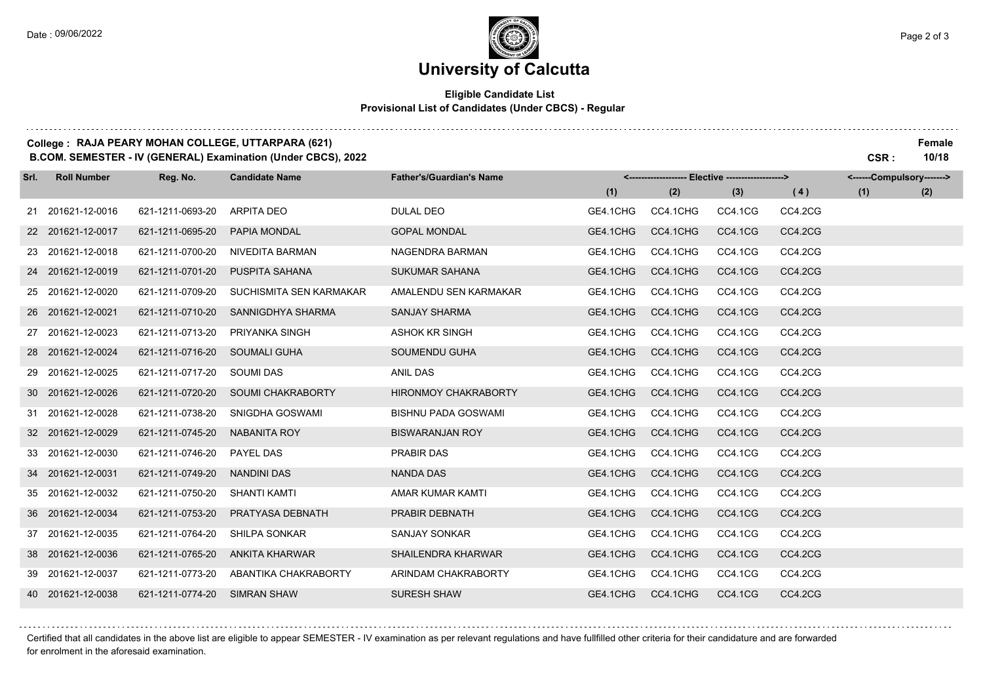# **University of Calcutta**

#### **Eligible Candidate List Provisional List of Candidates (Under CBCS) - Regular**

### **College : RAJA PEARY MOHAN COLLEGE, UTTARPARA (621) Female**

**B.COM. SEMESTER - IV (GENERAL) Examination (Under CBCS), 2022 CSR : 10/18**

| Srl. | <b>Roll Number</b> | Reg. No.         | <b>Candidate Name</b>    | <b>Father's/Guardian's Name</b> |          | <------------------- Elective ------------------> |         |         | <------Compulsory-------> |     |
|------|--------------------|------------------|--------------------------|---------------------------------|----------|---------------------------------------------------|---------|---------|---------------------------|-----|
|      |                    |                  |                          |                                 | (1)      | (2)                                               | (3)     | (4)     | (1)                       | (2) |
|      | 21 201621-12-0016  | 621-1211-0693-20 | <b>ARPITA DEO</b>        | <b>DULAL DEO</b>                | GE4.1CHG | CC4.1CHG                                          | CC4.1CG | CC4.2CG |                           |     |
|      | 22 201621-12-0017  | 621-1211-0695-20 | PAPIA MONDAL             | <b>GOPAL MONDAL</b>             | GE4.1CHG | CC4.1CHG                                          | CC4.1CG | CC4.2CG |                           |     |
|      | 23 201621-12-0018  | 621-1211-0700-20 | <b>NIVEDITA BARMAN</b>   | NAGENDRA BARMAN                 | GE4.1CHG | CC4.1CHG                                          | CC4.1CG | CC4.2CG |                           |     |
|      | 24 201621-12-0019  | 621-1211-0701-20 | PUSPITA SAHANA           | <b>SUKUMAR SAHANA</b>           | GE4.1CHG | CC4.1CHG                                          | CC4.1CG | CC4.2CG |                           |     |
|      | 25 201621-12-0020  | 621-1211-0709-20 | SUCHISMITA SEN KARMAKAR  | AMALENDU SEN KARMAKAR           | GE4.1CHG | CC4.1CHG                                          | CC4.1CG | CC4.2CG |                           |     |
|      | 26 201621-12-0021  | 621-1211-0710-20 | SANNIGDHYA SHARMA        | <b>SANJAY SHARMA</b>            | GE4.1CHG | CC4.1CHG                                          | CC4.1CG | CC4.2CG |                           |     |
|      | 27 201621-12-0023  | 621-1211-0713-20 | PRIYANKA SINGH           | <b>ASHOK KR SINGH</b>           | GE4.1CHG | CC4.1CHG                                          | CC4.1CG | CC4.2CG |                           |     |
|      | 28 201621-12-0024  | 621-1211-0716-20 | <b>SOUMALI GUHA</b>      | SOUMENDU GUHA                   | GE4.1CHG | CC4.1CHG                                          | CC4.1CG | CC4.2CG |                           |     |
|      | 29 201621-12-0025  | 621-1211-0717-20 | <b>SOUMI DAS</b>         | <b>ANIL DAS</b>                 | GE4.1CHG | CC4.1CHG                                          | CC4.1CG | CC4.2CG |                           |     |
|      | 30 201621-12-0026  | 621-1211-0720-20 | <b>SOUMI CHAKRABORTY</b> | <b>HIRONMOY CHAKRABORTY</b>     | GE4.1CHG | CC4.1CHG                                          | CC4.1CG | CC4.2CG |                           |     |
|      | 31 201621-12-0028  | 621-1211-0738-20 | SNIGDHA GOSWAMI          | <b>BISHNU PADA GOSWAMI</b>      | GE4.1CHG | CC4.1CHG                                          | CC4.1CG | CC4.2CG |                           |     |
|      | 32 201621-12-0029  | 621-1211-0745-20 | <b>NABANITA ROY</b>      | <b>BISWARANJAN ROY</b>          | GE4.1CHG | CC4.1CHG                                          | CC4.1CG | CC4.2CG |                           |     |
|      | 33 201621-12-0030  | 621-1211-0746-20 | PAYEL DAS                | <b>PRABIR DAS</b>               | GE4.1CHG | CC4.1CHG                                          | CC4.1CG | CC4.2CG |                           |     |
|      | 34 201621-12-0031  | 621-1211-0749-20 | <b>NANDINI DAS</b>       | <b>NANDA DAS</b>                | GE4.1CHG | CC4.1CHG                                          | CC4.1CG | CC4.2CG |                           |     |
|      | 35 201621-12-0032  | 621-1211-0750-20 | <b>SHANTI KAMTI</b>      | AMAR KUMAR KAMTI                | GE4.1CHG | CC4.1CHG                                          | CC4.1CG | CC4.2CG |                           |     |
|      | 36 201621-12-0034  | 621-1211-0753-20 | PRATYASA DEBNATH         | PRABIR DEBNATH                  | GE4.1CHG | CC4.1CHG                                          | CC4.1CG | CC4.2CG |                           |     |
|      | 37 201621-12-0035  | 621-1211-0764-20 | <b>SHILPA SONKAR</b>     | <b>SANJAY SONKAR</b>            | GE4.1CHG | CC4.1CHG                                          | CC4.1CG | CC4.2CG |                           |     |
|      | 38 201621-12-0036  | 621-1211-0765-20 | <b>ANKITA KHARWAR</b>    | <b>SHAILENDRA KHARWAR</b>       | GE4.1CHG | CC4.1CHG                                          | CC4.1CG | CC4.2CG |                           |     |
|      | 39 201621-12-0037  | 621-1211-0773-20 | ABANTIKA CHAKRABORTY     | ARINDAM CHAKRABORTY             | GE4.1CHG | CC4.1CHG                                          | CC4.1CG | CC4.2CG |                           |     |
|      | 40 201621-12-0038  | 621-1211-0774-20 | <b>SIMRAN SHAW</b>       | <b>SURESH SHAW</b>              | GE4.1CHG | CC4.1CHG                                          | CC4.1CG | CC4.2CG |                           |     |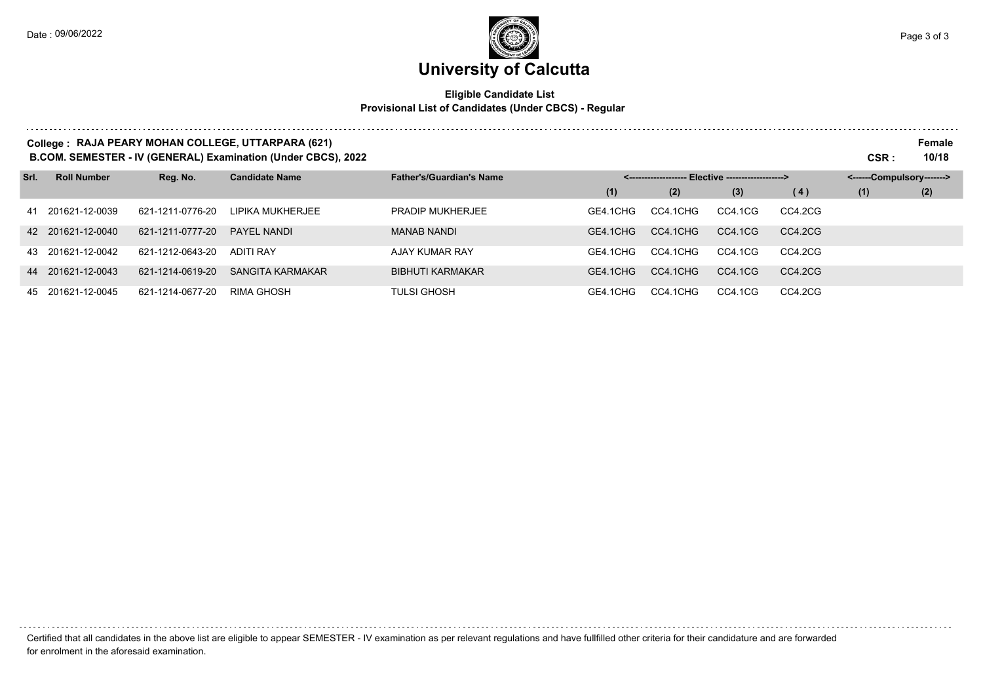# **University of Calcutta**

### **Eligible Candidate List Provisional List of Candidates (Under CBCS) - Regular**

|      |                    |                  | College: RAJA PEARY MOHAN COLLEGE, UTTARPARA (621)<br>B.COM. SEMESTER - IV (GENERAL) Examination (Under CBCS), 2022 |                                 |          |          |                                 |         | CSR:                      | Female<br>10/18 |
|------|--------------------|------------------|---------------------------------------------------------------------------------------------------------------------|---------------------------------|----------|----------|---------------------------------|---------|---------------------------|-----------------|
| Srl. | <b>Roll Number</b> | Reg. No.         | <b>Candidate Name</b>                                                                                               | <b>Father's/Guardian's Name</b> |          |          | - Elective -------------------> |         | <------Compulsory-------> |                 |
|      |                    |                  |                                                                                                                     |                                 | (1)      | (2)      | (3)                             | (4)     | (1)                       | (2)             |
|      | 41 201621-12-0039  | 621-1211-0776-20 | LIPIKA MUKHERJEE                                                                                                    | <b>PRADIP MUKHERJEE</b>         | GE4.1CHG | CC4.1CHG | CC4.1CG                         | CC4.2CG |                           |                 |
|      | 42 201621-12-0040  | 621-1211-0777-20 | PAYEL NANDI                                                                                                         | <b>MANAB NANDI</b>              | GE4.1CHG | CC4.1CHG | CC4.1CG                         | CC4.2CG |                           |                 |
|      | 43 201621-12-0042  | 621-1212-0643-20 | <b>ADITI RAY</b>                                                                                                    | AJAY KUMAR RAY                  | GE4.1CHG | CC4.1CHG | CC4.1CG                         | CC4.2CG |                           |                 |
|      | 44 201621-12-0043  | 621-1214-0619-20 | SANGITA KARMAKAR                                                                                                    | <b>BIBHUTI KARMAKAR</b>         | GE4.1CHG | CC4.1CHG | CC4.1CG                         | CC4.2CG |                           |                 |
|      | 45 201621-12-0045  | 621-1214-0677-20 | RIMA GHOSH                                                                                                          | <b>TULSI GHOSH</b>              | GE4.1CHG | CC4.1CHG | CC4.1CG                         | CC4.2CG |                           |                 |

Certified that all candidates in the above list are eligible to appear SEMESTER - IV examination as per relevant regulations and have fullfilled other criteria for their candidature and are forwarded for enrolment in the aforesaid examination.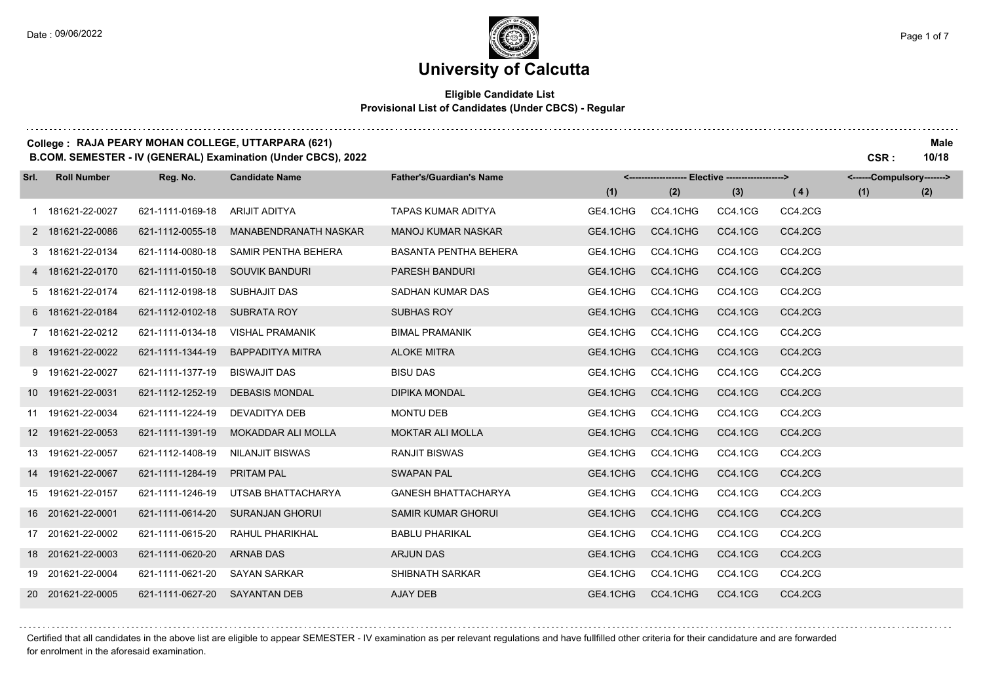# **University of Calcutta**

### **Eligible Candidate List Provisional List of Candidates (Under CBCS) - Regular**

### **College : RAJA PEARY MOHAN COLLEGE, UTTARPARA (621) Male**

**B.COM. SEMESTER - IV (GENERAL) Examination (Under CBCS), 2022 CSR : 10/18**

| Srl. | <b>Roll Number</b> | Reg. No.         | <b>Candidate Name</b>   | <b>Father's/Guardian's Name</b> |          | <-------------------- Elective ------------------> |         |         | <------Compulsory-------> |     |
|------|--------------------|------------------|-------------------------|---------------------------------|----------|----------------------------------------------------|---------|---------|---------------------------|-----|
|      |                    |                  |                         |                                 | (1)      | (2)                                                | (3)     | (4)     | (1)                       | (2) |
|      | 1 181621-22-0027   | 621-1111-0169-18 | <b>ARIJIT ADITYA</b>    | <b>TAPAS KUMAR ADITYA</b>       | GE4.1CHG | CC4.1CHG                                           | CC4.1CG | CC4.2CG |                           |     |
|      | 2 181621-22-0086   | 621-1112-0055-18 | MANABENDRANATH NASKAR   | <b>MANOJ KUMAR NASKAR</b>       | GE4.1CHG | CC4.1CHG                                           | CC4.1CG | CC4.2CG |                           |     |
|      | 3 181621-22-0134   | 621-1114-0080-18 | SAMIR PENTHA BEHERA     | <b>BASANTA PENTHA BEHERA</b>    | GE4.1CHG | CC4.1CHG                                           | CC4.1CG | CC4.2CG |                           |     |
|      | 4 181621-22-0170   | 621-1111-0150-18 | SOUVIK BANDURI          | <b>PARESH BANDURI</b>           | GE4.1CHG | CC4.1CHG                                           | CC4.1CG | CC4.2CG |                           |     |
|      | 5 181621-22-0174   | 621-1112-0198-18 | SUBHAJIT DAS            | SADHAN KUMAR DAS                | GE4.1CHG | CC4.1CHG                                           | CC4.1CG | CC4.2CG |                           |     |
|      | 6 181621-22-0184   | 621-1112-0102-18 | <b>SUBRATA ROY</b>      | <b>SUBHAS ROY</b>               | GE4.1CHG | CC4.1CHG                                           | CC4.1CG | CC4.2CG |                           |     |
|      | 7 181621-22-0212   | 621-1111-0134-18 | <b>VISHAL PRAMANIK</b>  | <b>BIMAL PRAMANIK</b>           | GE4.1CHG | CC4.1CHG                                           | CC4.1CG | CC4.2CG |                           |     |
|      | 8 191621-22-0022   | 621-1111-1344-19 | <b>BAPPADITYA MITRA</b> | <b>ALOKE MITRA</b>              | GE4.1CHG | CC4.1CHG                                           | CC4.1CG | CC4.2CG |                           |     |
|      | 9 191621-22-0027   | 621-1111-1377-19 | <b>BISWAJIT DAS</b>     | <b>BISU DAS</b>                 | GE4.1CHG | CC4.1CHG                                           | CC4.1CG | CC4.2CG |                           |     |
|      | 10 191621-22-0031  | 621-1112-1252-19 | <b>DEBASIS MONDAL</b>   | <b>DIPIKA MONDAL</b>            | GE4.1CHG | CC4.1CHG                                           | CC4.1CG | CC4.2CG |                           |     |
|      | 11 191621-22-0034  | 621-1111-1224-19 | DEVADITYA DEB           | <b>MONTU DEB</b>                | GE4.1CHG | CC4.1CHG                                           | CC4.1CG | CC4.2CG |                           |     |
|      | 12 191621-22-0053  | 621-1111-1391-19 | MOKADDAR ALI MOLLA      | <b>MOKTAR ALI MOLLA</b>         | GE4.1CHG | CC4.1CHG                                           | CC4.1CG | CC4.2CG |                           |     |
|      | 13 191621-22-0057  | 621-1112-1408-19 | <b>NILANJIT BISWAS</b>  | <b>RANJIT BISWAS</b>            | GE4.1CHG | CC4.1CHG                                           | CC4.1CG | CC4.2CG |                           |     |
|      | 14 191621-22-0067  | 621-1111-1284-19 | <b>PRITAM PAL</b>       | <b>SWAPAN PAL</b>               | GE4.1CHG | CC4.1CHG                                           | CC4.1CG | CC4.2CG |                           |     |
|      | 15 191621-22-0157  | 621-1111-1246-19 | UTSAB BHATTACHARYA      | <b>GANESH BHATTACHARYA</b>      | GE4.1CHG | CC4.1CHG                                           | CC4.1CG | CC4.2CG |                           |     |
|      | 16 201621-22-0001  | 621-1111-0614-20 | <b>SURANJAN GHORUI</b>  | SAMIR KUMAR GHORUI              | GE4.1CHG | CC4.1CHG                                           | CC4.1CG | CC4.2CG |                           |     |
|      | 17 201621-22-0002  | 621-1111-0615-20 | RAHUL PHARIKHAL         | <b>BABLU PHARIKAL</b>           | GE4.1CHG | CC4.1CHG                                           | CC4.1CG | CC4.2CG |                           |     |
|      | 18 201621-22-0003  | 621-1111-0620-20 | <b>ARNAB DAS</b>        | <b>ARJUN DAS</b>                | GE4.1CHG | CC4.1CHG                                           | CC4.1CG | CC4.2CG |                           |     |
|      | 19 201621-22-0004  | 621-1111-0621-20 | <b>SAYAN SARKAR</b>     | SHIBNATH SARKAR                 | GE4.1CHG | CC4.1CHG                                           | CC4.1CG | CC4.2CG |                           |     |
|      | 20 201621-22-0005  | 621-1111-0627-20 | <b>SAYANTAN DEB</b>     | AJAY DEB                        | GE4.1CHG | CC4.1CHG                                           | CC4.1CG | CC4.2CG |                           |     |

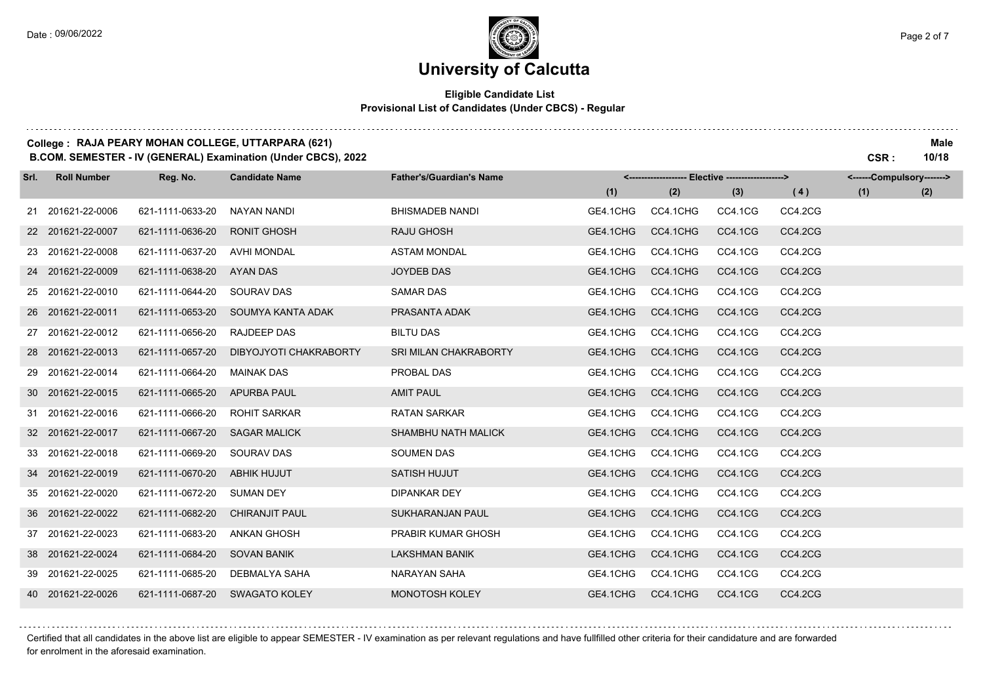### **University of Calcutta**

### **Eligible Candidate List Provisional List of Candidates (Under CBCS) - Regular**

#### **College : RAJA PEARY MOHAN COLLEGE, UTTARPARA (621) Male**

**B.COM. SEMESTER - IV (GENERAL) Examination (Under CBCS), 2022 CSR : 10/18**

| Srl. | <b>Roll Number</b> | Reg. No.         | <b>Candidate Name</b>  | <b>Father's/Guardian's Name</b> |          | <-------------------- Elective -------------------> |         |         | <------Compulsory-------> |     |
|------|--------------------|------------------|------------------------|---------------------------------|----------|-----------------------------------------------------|---------|---------|---------------------------|-----|
|      |                    |                  |                        |                                 | (1)      | (2)                                                 | (3)     | (4)     | (1)                       | (2) |
|      | 21 201621-22-0006  | 621-1111-0633-20 | NAYAN NANDI            | <b>BHISMADEB NANDI</b>          | GE4.1CHG | CC4.1CHG                                            | CC4.1CG | CC4.2CG |                           |     |
|      | 22 201621-22-0007  | 621-1111-0636-20 | <b>RONIT GHOSH</b>     | <b>RAJU GHOSH</b>               | GE4.1CHG | CC4.1CHG                                            | CC4.1CG | CC4.2CG |                           |     |
|      | 23 201621-22-0008  | 621-1111-0637-20 | <b>AVHI MONDAL</b>     | <b>ASTAM MONDAL</b>             | GE4.1CHG | CC4.1CHG                                            | CC4.1CG | CC4.2CG |                           |     |
|      | 24 201621-22-0009  | 621-1111-0638-20 | AYAN DAS               | JOYDEB DAS                      | GE4.1CHG | CC4.1CHG                                            | CC4.1CG | CC4.2CG |                           |     |
|      | 25 201621-22-0010  | 621-1111-0644-20 | <b>SOURAV DAS</b>      | <b>SAMAR DAS</b>                | GE4.1CHG | CC4.1CHG                                            | CC4.1CG | CC4.2CG |                           |     |
|      | 26 201621-22-0011  | 621-1111-0653-20 | SOUMYA KANTA ADAK      | PRASANTA ADAK                   | GE4.1CHG | CC4.1CHG                                            | CC4.1CG | CC4.2CG |                           |     |
|      | 27 201621-22-0012  | 621-1111-0656-20 | <b>RAJDEEP DAS</b>     | <b>BILTU DAS</b>                | GE4.1CHG | CC4.1CHG                                            | CC4.1CG | CC4.2CG |                           |     |
|      | 28 201621-22-0013  | 621-1111-0657-20 | DIBYOJYOTI CHAKRABORTY | SRI MILAN CHAKRABORTY           | GE4.1CHG | CC4.1CHG                                            | CC4.1CG | CC4.2CG |                           |     |
|      | 29 201621-22-0014  | 621-1111-0664-20 | <b>MAINAK DAS</b>      | PROBAL DAS                      | GE4.1CHG | CC4.1CHG                                            | CC4.1CG | CC4.2CG |                           |     |
|      | 30 201621-22-0015  | 621-1111-0665-20 | <b>APURBA PAUL</b>     | <b>AMIT PAUL</b>                | GE4.1CHG | CC4.1CHG                                            | CC4.1CG | CC4.2CG |                           |     |
|      | 31 201621-22-0016  | 621-1111-0666-20 | <b>ROHIT SARKAR</b>    | <b>RATAN SARKAR</b>             | GE4.1CHG | CC4.1CHG                                            | CC4.1CG | CC4.2CG |                           |     |
|      | 32 201621-22-0017  | 621-1111-0667-20 | <b>SAGAR MALICK</b>    | SHAMBHU NATH MALICK             | GE4.1CHG | CC4.1CHG                                            | CC4.1CG | CC4.2CG |                           |     |
|      | 33 201621-22-0018  | 621-1111-0669-20 | <b>SOURAV DAS</b>      | <b>SOUMEN DAS</b>               | GE4.1CHG | CC4.1CHG                                            | CC4.1CG | CC4.2CG |                           |     |
|      | 34 201621-22-0019  | 621-1111-0670-20 | <b>ABHIK HUJUT</b>     | SATISH HUJUT                    | GE4.1CHG | CC4.1CHG                                            | CC4.1CG | CC4.2CG |                           |     |
|      | 35 201621-22-0020  | 621-1111-0672-20 | <b>SUMAN DEY</b>       | <b>DIPANKAR DEY</b>             | GE4.1CHG | CC4.1CHG                                            | CC4.1CG | CC4.2CG |                           |     |
|      | 36 201621-22-0022  | 621-1111-0682-20 | <b>CHIRANJIT PAUL</b>  | SUKHARANJAN PAUL                | GE4.1CHG | CC4.1CHG                                            | CC4.1CG | CC4.2CG |                           |     |
|      | 37 201621-22-0023  | 621-1111-0683-20 | <b>ANKAN GHOSH</b>     | PRABIR KUMAR GHOSH              | GE4.1CHG | CC4.1CHG                                            | CC4.1CG | CC4.2CG |                           |     |
|      | 38 201621-22-0024  | 621-1111-0684-20 | <b>SOVAN BANIK</b>     | <b>LAKSHMAN BANIK</b>           | GE4.1CHG | CC4.1CHG                                            | CC4.1CG | CC4.2CG |                           |     |
|      | 39 201621-22-0025  | 621-1111-0685-20 | DEBMALYA SAHA          | NARAYAN SAHA                    | GE4.1CHG | CC4.1CHG                                            | CC4.1CG | CC4.2CG |                           |     |
|      | 40 201621-22-0026  | 621-1111-0687-20 | SWAGATO KOLEY          | MONOTOSH KOLEY                  | GE4.1CHG | CC4.1CHG                                            | CC4.1CG | CC4.2CG |                           |     |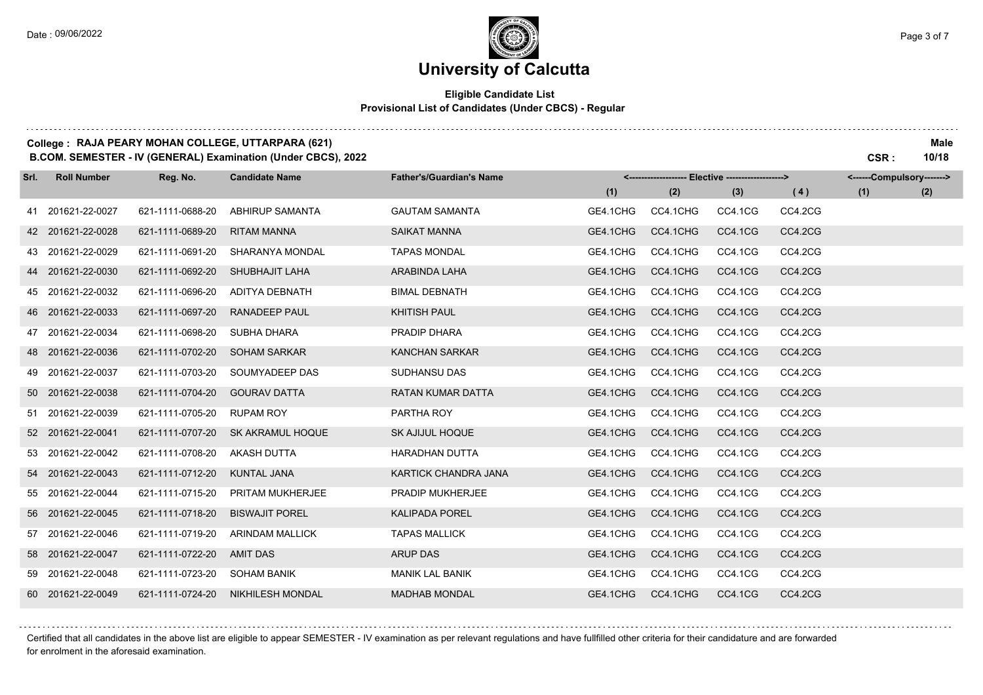. . . . . . . . . . . . . . . .

### **University of Calcutta**

### **Eligible Candidate List Provisional List of Candidates (Under CBCS) - Regular**

### **College : RAJA PEARY MOHAN COLLEGE, UTTARPARA (621) Male**

**B.COM. SEMESTER - IV (GENERAL) Examination (Under CBCS), 2022 CSR : 10/18**

| Srl. | <b>Roll Number</b> | Reg. No.         | <b>Candidate Name</b>   | <b>Father's/Guardian's Name</b> |          | <------------------- Elective ------------------> |         |         | <------Compulsory-------> |     |
|------|--------------------|------------------|-------------------------|---------------------------------|----------|---------------------------------------------------|---------|---------|---------------------------|-----|
|      |                    |                  |                         |                                 | (1)      | (2)                                               | (3)     | (4)     | (1)                       | (2) |
|      | 41 201621-22-0027  | 621-1111-0688-20 | <b>ABHIRUP SAMANTA</b>  | <b>GAUTAM SAMANTA</b>           | GE4.1CHG | CC4.1CHG                                          | CC4.1CG | CC4.2CG |                           |     |
|      | 42 201621-22-0028  | 621-1111-0689-20 | <b>RITAM MANNA</b>      | <b>SAIKAT MANNA</b>             | GE4.1CHG | CC4.1CHG                                          | CC4.1CG | CC4.2CG |                           |     |
|      | 43 201621-22-0029  | 621-1111-0691-20 | <b>SHARANYA MONDAL</b>  | <b>TAPAS MONDAL</b>             | GE4.1CHG | CC4.1CHG                                          | CC4.1CG | CC4.2CG |                           |     |
|      | 44 201621-22-0030  | 621-1111-0692-20 | SHUBHAJIT LAHA          | ARABINDA LAHA                   | GE4.1CHG | CC4.1CHG                                          | CC4.1CG | CC4.2CG |                           |     |
|      | 45 201621-22-0032  | 621-1111-0696-20 | ADITYA DEBNATH          | <b>BIMAL DEBNATH</b>            | GE4.1CHG | CC4.1CHG                                          | CC4.1CG | CC4.2CG |                           |     |
|      | 46 201621-22-0033  | 621-1111-0697-20 | <b>RANADEEP PAUL</b>    | <b>KHITISH PAUL</b>             | GE4.1CHG | CC4.1CHG                                          | CC4.1CG | CC4.2CG |                           |     |
|      | 47 201621-22-0034  | 621-1111-0698-20 | SUBHA DHARA             | PRADIP DHARA                    | GE4.1CHG | CC4.1CHG                                          | CC4.1CG | CC4.2CG |                           |     |
|      | 48 201621-22-0036  | 621-1111-0702-20 | <b>SOHAM SARKAR</b>     | <b>KANCHAN SARKAR</b>           | GE4.1CHG | CC4.1CHG                                          | CC4.1CG | CC4.2CG |                           |     |
|      | 49 201621-22-0037  | 621-1111-0703-20 | SOUMYADEEP DAS          | <b>SUDHANSU DAS</b>             | GE4.1CHG | CC4.1CHG                                          | CC4.1CG | CC4.2CG |                           |     |
|      | 50 201621-22-0038  | 621-1111-0704-20 | <b>GOURAV DATTA</b>     | <b>RATAN KUMAR DATTA</b>        | GE4.1CHG | CC4.1CHG                                          | CC4.1CG | CC4.2CG |                           |     |
|      | 51 201621-22-0039  | 621-1111-0705-20 | <b>RUPAM ROY</b>        | PARTHA ROY                      | GE4.1CHG | CC4.1CHG                                          | CC4.1CG | CC4.2CG |                           |     |
|      | 52 201621-22-0041  | 621-1111-0707-20 | SK AKRAMUL HOQUE        | <b>SK AJIJUL HOQUE</b>          | GE4.1CHG | CC4.1CHG                                          | CC4.1CG | CC4.2CG |                           |     |
|      | 53 201621-22-0042  | 621-1111-0708-20 | <b>AKASH DUTTA</b>      | <b>HARADHAN DUTTA</b>           | GE4.1CHG | CC4.1CHG                                          | CC4.1CG | CC4.2CG |                           |     |
|      | 54 201621-22-0043  | 621-1111-0712-20 | <b>KUNTAL JANA</b>      | KARTICK CHANDRA JANA            | GE4.1CHG | CC4.1CHG                                          | CC4.1CG | CC4.2CG |                           |     |
|      | 55 201621-22-0044  | 621-1111-0715-20 | <b>PRITAM MUKHERJEE</b> | PRADIP MUKHERJEE                | GE4.1CHG | CC4.1CHG                                          | CC4.1CG | CC4.2CG |                           |     |
|      | 56 201621-22-0045  | 621-1111-0718-20 | <b>BISWAJIT POREL</b>   | <b>KALIPADA POREL</b>           | GE4.1CHG | CC4.1CHG                                          | CC4.1CG | CC4.2CG |                           |     |
|      | 57 201621-22-0046  | 621-1111-0719-20 | <b>ARINDAM MALLICK</b>  | <b>TAPAS MALLICK</b>            | GE4.1CHG | CC4.1CHG                                          | CC4.1CG | CC4.2CG |                           |     |
|      | 58 201621-22-0047  | 621-1111-0722-20 | <b>AMIT DAS</b>         | <b>ARUP DAS</b>                 | GE4.1CHG | CC4.1CHG                                          | CC4.1CG | CC4.2CG |                           |     |
|      | 59 201621-22-0048  | 621-1111-0723-20 | <b>SOHAM BANIK</b>      | <b>MANIK LAL BANIK</b>          | GE4.1CHG | CC4.1CHG                                          | CC4.1CG | CC4.2CG |                           |     |
|      | 60 201621-22-0049  | 621-1111-0724-20 | <b>NIKHILESH MONDAL</b> | <b>MADHAB MONDAL</b>            | GE4.1CHG | CC4.1CHG                                          | CC4.1CG | CC4.2CG |                           |     |

Certified that all candidates in the above list are eligible to appear SEMESTER - IV examination as per relevant regulations and have fullfilled other criteria for their candidature and are forwarded for enrolment in the aforesaid examination.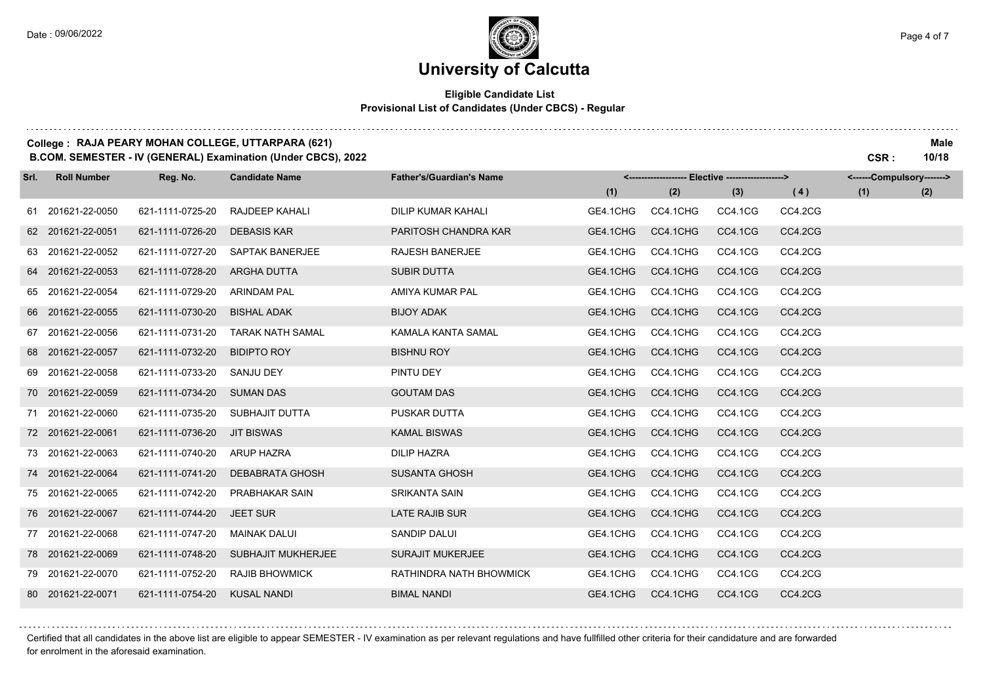# **University of Calcutta**

### **Eligible Candidate List Provisional List of Candidates (Under CBCS) - Regular**

### **College : RAJA PEARY MOHAN COLLEGE, UTTARPARA (621) Male**

**B.COM. SEMESTER - IV (GENERAL) Examination (Under CBCS), 2022 CSR : 10/18**

| Srl. | <b>Roll Number</b> | Reg. No.         | <b>Candidate Name</b>     | <b>Father's/Guardian's Name</b> |          | <-------------------- Elective -------------------> |         |         | <------Compulsory-------> |     |
|------|--------------------|------------------|---------------------------|---------------------------------|----------|-----------------------------------------------------|---------|---------|---------------------------|-----|
|      |                    |                  |                           |                                 | (1)      | (2)                                                 | (3)     | (4)     | (1)                       | (2) |
|      | 61 201621-22-0050  | 621-1111-0725-20 | RAJDEEP KAHALI            | <b>DILIP KUMAR KAHALI</b>       | GE4.1CHG | CC4.1CHG                                            | CC4.1CG | CC4.2CG |                           |     |
|      | 62 201621-22-0051  | 621-1111-0726-20 | <b>DEBASIS KAR</b>        | PARITOSH CHANDRA KAR            | GE4.1CHG | CC4.1CHG                                            | CC4.1CG | CC4.2CG |                           |     |
|      | 63 201621-22-0052  | 621-1111-0727-20 | <b>SAPTAK BANERJEE</b>    | <b>RAJESH BANERJEE</b>          | GE4.1CHG | CC4.1CHG                                            | CC4.1CG | CC4.2CG |                           |     |
|      | 64 201621-22-0053  | 621-1111-0728-20 | <b>ARGHA DUTTA</b>        | <b>SUBIR DUTTA</b>              | GE4.1CHG | CC4.1CHG                                            | CC4.1CG | CC4.2CG |                           |     |
|      | 65 201621-22-0054  | 621-1111-0729-20 | <b>ARINDAM PAL</b>        | AMIYA KUMAR PAL                 | GE4.1CHG | CC4.1CHG                                            | CC4.1CG | CC4.2CG |                           |     |
|      | 66 201621-22-0055  | 621-1111-0730-20 | <b>BISHAL ADAK</b>        | <b>BIJOY ADAK</b>               | GE4.1CHG | CC4.1CHG                                            | CC4.1CG | CC4.2CG |                           |     |
|      | 67 201621-22-0056  | 621-1111-0731-20 | <b>TARAK NATH SAMAL</b>   | KAMALA KANTA SAMAL              | GE4.1CHG | CC4.1CHG                                            | CC4.1CG | CC4.2CG |                           |     |
|      | 68 201621-22-0057  | 621-1111-0732-20 | <b>BIDIPTO ROY</b>        | <b>BISHNU ROY</b>               | GE4.1CHG | CC4.1CHG                                            | CC4.1CG | CC4.2CG |                           |     |
|      | 69 201621-22-0058  | 621-1111-0733-20 | <b>SANJU DEY</b>          | PINTU DEY                       | GE4.1CHG | CC4.1CHG                                            | CC4.1CG | CC4.2CG |                           |     |
|      | 70 201621-22-0059  | 621-1111-0734-20 | <b>SUMAN DAS</b>          | <b>GOUTAM DAS</b>               | GE4.1CHG | CC4.1CHG                                            | CC4.1CG | CC4.2CG |                           |     |
|      | 71 201621-22-0060  | 621-1111-0735-20 | SUBHAJIT DUTTA            | PUSKAR DUTTA                    | GE4.1CHG | CC4.1CHG                                            | CC4.1CG | CC4.2CG |                           |     |
|      | 72 201621-22-0061  | 621-1111-0736-20 | <b>JIT BISWAS</b>         | <b>KAMAL BISWAS</b>             | GE4.1CHG | CC4.1CHG                                            | CC4.1CG | CC4.2CG |                           |     |
|      | 73 201621-22-0063  | 621-1111-0740-20 | <b>ARUP HAZRA</b>         | <b>DILIP HAZRA</b>              | GE4.1CHG | CC4.1CHG                                            | CC4.1CG | CC4.2CG |                           |     |
|      | 74 201621-22-0064  | 621-1111-0741-20 | <b>DEBABRATA GHOSH</b>    | <b>SUSANTA GHOSH</b>            | GE4.1CHG | CC4.1CHG                                            | CC4.1CG | CC4.2CG |                           |     |
|      | 75 201621-22-0065  | 621-1111-0742-20 | <b>PRABHAKAR SAIN</b>     | <b>SRIKANTA SAIN</b>            | GE4.1CHG | CC4.1CHG                                            | CC4.1CG | CC4.2CG |                           |     |
|      | 76 201621-22-0067  | 621-1111-0744-20 | <b>JEET SUR</b>           | LATE RAJIB SUR                  | GE4.1CHG | CC4.1CHG                                            | CC4.1CG | CC4.2CG |                           |     |
|      | 77 201621-22-0068  | 621-1111-0747-20 | <b>MAINAK DALUI</b>       | <b>SANDIP DALUI</b>             | GE4.1CHG | CC4.1CHG                                            | CC4.1CG | CC4.2CG |                           |     |
|      | 78 201621-22-0069  | 621-1111-0748-20 | <b>SUBHAJIT MUKHERJEE</b> | <b>SURAJIT MUKERJEE</b>         | GE4.1CHG | CC4.1CHG                                            | CC4.1CG | CC4.2CG |                           |     |
|      | 79 201621-22-0070  | 621-1111-0752-20 | <b>RAJIB BHOWMICK</b>     | RATHINDRA NATH BHOWMICK         | GE4.1CHG | CC4.1CHG                                            | CC4.1CG | CC4.2CG |                           |     |
|      | 80 201621-22-0071  | 621-1111-0754-20 | <b>KUSAL NANDI</b>        | <b>BIMAL NANDI</b>              | GE4.1CHG | CC4.1CHG                                            | CC4.1CG | CC4.2CG |                           |     |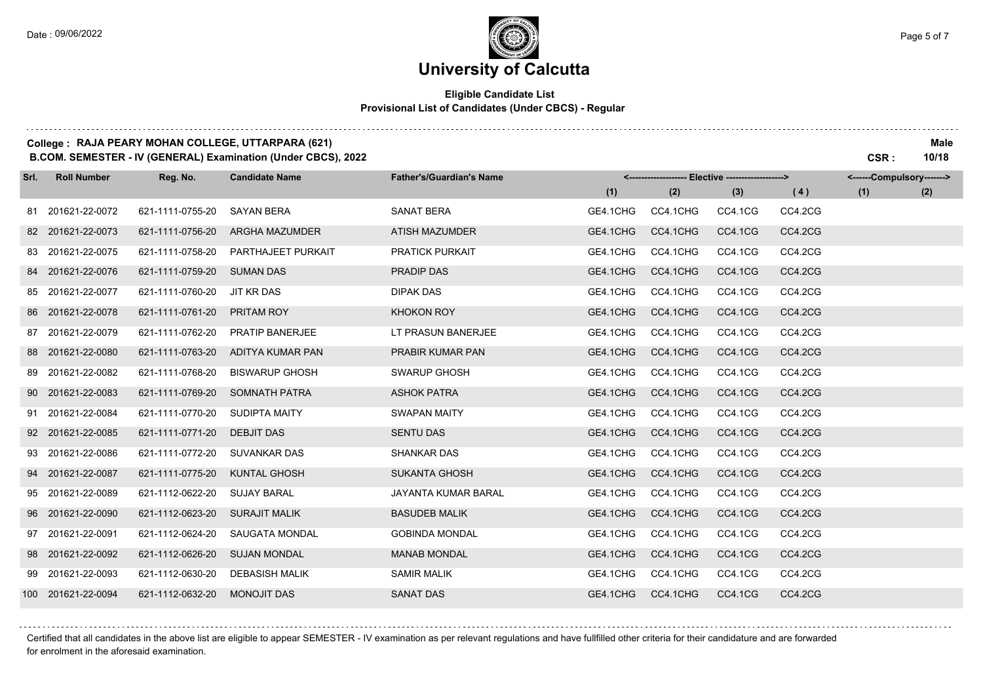. . . . . . . . . . . . . . . . .

### **University of Calcutta**

### **Eligible Candidate List Provisional List of Candidates (Under CBCS) - Regular**

#### **College : RAJA PEARY MOHAN COLLEGE, UTTARPARA (621) Male**

**B.COM. SEMESTER - IV (GENERAL) Examination (Under CBCS), 2022 CSR : 10/18**

| Srl. | <b>Roll Number</b> | Reg. No.         | <b>Candidate Name</b> | <b>Father's/Guardian's Name</b> |          | <------------------- Elective ------------------> |         |         | <------Compulsory-------> |     |
|------|--------------------|------------------|-----------------------|---------------------------------|----------|---------------------------------------------------|---------|---------|---------------------------|-----|
|      |                    |                  |                       |                                 | (1)      | (2)                                               | (3)     | (4)     | (1)                       | (2) |
|      | 81 201621-22-0072  | 621-1111-0755-20 | <b>SAYAN BERA</b>     | <b>SANAT BERA</b>               | GE4.1CHG | CC4.1CHG                                          | CC4.1CG | CC4.2CG |                           |     |
|      | 82 201621-22-0073  | 621-1111-0756-20 | <b>ARGHA MAZUMDER</b> | <b>ATISH MAZUMDER</b>           | GE4.1CHG | CC4.1CHG                                          | CC4.1CG | CC4.2CG |                           |     |
|      | 83 201621-22-0075  | 621-1111-0758-20 | PARTHAJEET PURKAIT    | <b>PRATICK PURKAIT</b>          | GE4.1CHG | CC4.1CHG                                          | CC4.1CG | CC4.2CG |                           |     |
|      | 84 201621-22-0076  | 621-1111-0759-20 | <b>SUMAN DAS</b>      | PRADIP DAS                      | GE4.1CHG | CC4.1CHG                                          | CC4.1CG | CC4.2CG |                           |     |
|      | 85 201621-22-0077  | 621-1111-0760-20 | JIT KR DAS            | <b>DIPAK DAS</b>                | GE4.1CHG | CC4.1CHG                                          | CC4.1CG | CC4.2CG |                           |     |
|      | 86 201621-22-0078  | 621-1111-0761-20 | PRITAM ROY            | <b>KHOKON ROY</b>               | GE4.1CHG | CC4.1CHG                                          | CC4.1CG | CC4.2CG |                           |     |
|      | 87 201621-22-0079  | 621-1111-0762-20 | PRATIP BANERJEE       | LT PRASUN BANERJEE              | GE4.1CHG | CC4.1CHG                                          | CC4.1CG | CC4.2CG |                           |     |
|      | 88 201621-22-0080  | 621-1111-0763-20 | ADITYA KUMAR PAN      | PRABIR KUMAR PAN                | GE4.1CHG | CC4.1CHG                                          | CC4.1CG | CC4.2CG |                           |     |
|      | 89 201621-22-0082  | 621-1111-0768-20 | <b>BISWARUP GHOSH</b> | SWARUP GHOSH                    | GE4.1CHG | CC4.1CHG                                          | CC4.1CG | CC4.2CG |                           |     |
|      | 90 201621-22-0083  | 621-1111-0769-20 | <b>SOMNATH PATRA</b>  | <b>ASHOK PATRA</b>              | GE4.1CHG | CC4.1CHG                                          | CC4.1CG | CC4.2CG |                           |     |
|      | 91 201621-22-0084  | 621-1111-0770-20 | SUDIPTA MAITY         | <b>SWAPAN MAITY</b>             | GE4.1CHG | CC4.1CHG                                          | CC4.1CG | CC4.2CG |                           |     |
|      | 92 201621-22-0085  | 621-1111-0771-20 | <b>DEBJIT DAS</b>     | <b>SENTU DAS</b>                | GE4.1CHG | CC4.1CHG                                          | CC4.1CG | CC4.2CG |                           |     |
|      | 93 201621-22-0086  | 621-1111-0772-20 | <b>SUVANKAR DAS</b>   | <b>SHANKAR DAS</b>              | GE4.1CHG | CC4.1CHG                                          | CC4.1CG | CC4.2CG |                           |     |
|      | 94 201621-22-0087  | 621-1111-0775-20 | <b>KUNTAL GHOSH</b>   | <b>SUKANTA GHOSH</b>            | GE4.1CHG | CC4.1CHG                                          | CC4.1CG | CC4.2CG |                           |     |
|      | 95 201621-22-0089  | 621-1112-0622-20 | <b>SUJAY BARAL</b>    | JAYANTA KUMAR BARAL             | GE4.1CHG | CC4.1CHG                                          | CC4.1CG | CC4.2CG |                           |     |
|      | 96 201621-22-0090  | 621-1112-0623-20 | <b>SURAJIT MALIK</b>  | <b>BASUDEB MALIK</b>            | GE4.1CHG | CC4.1CHG                                          | CC4.1CG | CC4.2CG |                           |     |
|      | 97 201621-22-0091  | 621-1112-0624-20 | SAUGATA MONDAL        | <b>GOBINDA MONDAL</b>           | GE4.1CHG | CC4.1CHG                                          | CC4.1CG | CC4.2CG |                           |     |
|      | 98 201621-22-0092  | 621-1112-0626-20 | <b>SUJAN MONDAL</b>   | <b>MANAB MONDAL</b>             | GE4.1CHG | CC4.1CHG                                          | CC4.1CG | CC4.2CG |                           |     |
|      | 99 201621-22-0093  | 621-1112-0630-20 | <b>DEBASISH MALIK</b> | <b>SAMIR MALIK</b>              | GE4.1CHG | CC4.1CHG                                          | CC4.1CG | CC4.2CG |                           |     |
|      | 100 201621-22-0094 | 621-1112-0632-20 | <b>MONOJIT DAS</b>    | <b>SANAT DAS</b>                | GE4.1CHG | CC4.1CHG                                          | CC4.1CG | CC4.2CG |                           |     |

Certified that all candidates in the above list are eligible to appear SEMESTER - IV examination as per relevant regulations and have fullfilled other criteria for their candidature and are forwarded for enrolment in the aforesaid examination.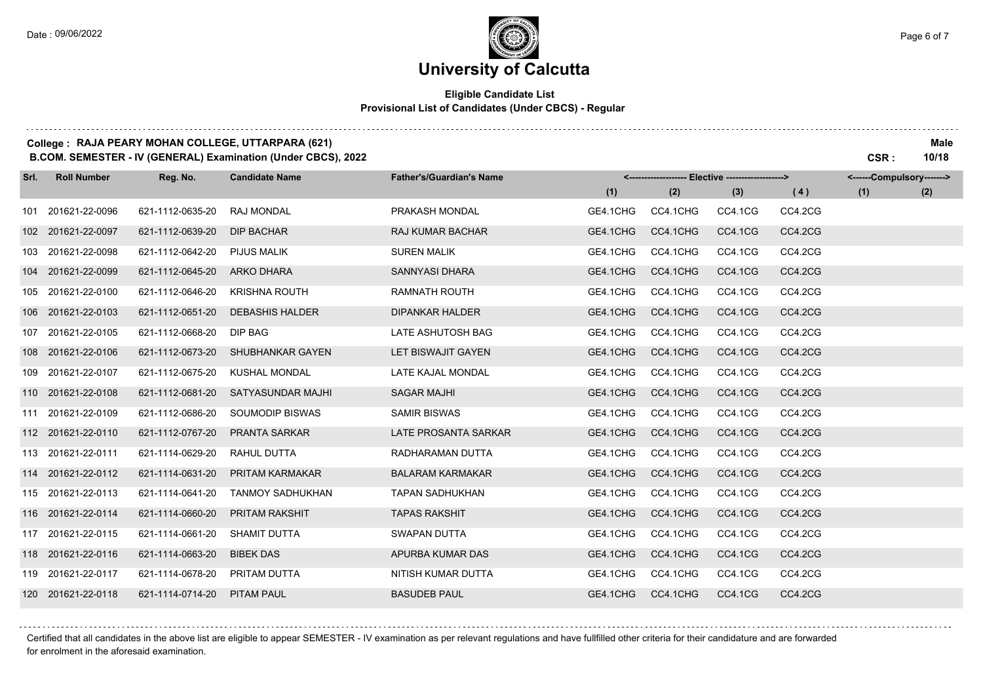. . . . . . . . . . . . . . . . .

### **University of Calcutta**

### **Eligible Candidate List Provisional List of Candidates (Under CBCS) - Regular**

### **College : RAJA PEARY MOHAN COLLEGE, UTTARPARA (621) Male**

**B.COM. SEMESTER - IV (GENERAL) Examination (Under CBCS), 2022 CSR : 10/18**

| Srl. | <b>Roll Number</b> | Reg. No.         | <b>Candidate Name</b>    | <b>Father's/Guardian's Name</b> |          | <-------------------- Elective ------------------> |         |         | <------Compulsory-------> |     |
|------|--------------------|------------------|--------------------------|---------------------------------|----------|----------------------------------------------------|---------|---------|---------------------------|-----|
|      |                    |                  |                          |                                 | (1)      | (2)                                                | (3)     | (4)     | (1)                       | (2) |
|      | 101 201621-22-0096 | 621-1112-0635-20 | <b>RAJ MONDAL</b>        | PRAKASH MONDAL                  | GE4.1CHG | CC4.1CHG                                           | CC4.1CG | CC4.2CG |                           |     |
|      | 102 201621-22-0097 | 621-1112-0639-20 | <b>DIP BACHAR</b>        | <b>RAJ KUMAR BACHAR</b>         | GE4.1CHG | CC4.1CHG                                           | CC4.1CG | CC4.2CG |                           |     |
|      | 103 201621-22-0098 | 621-1112-0642-20 | <b>PIJUS MALIK</b>       | <b>SUREN MALIK</b>              | GE4.1CHG | CC4.1CHG                                           | CC4.1CG | CC4.2CG |                           |     |
|      | 104 201621-22-0099 | 621-1112-0645-20 | <b>ARKO DHARA</b>        | SANNYASI DHARA                  | GE4.1CHG | CC4.1CHG                                           | CC4.1CG | CC4.2CG |                           |     |
|      | 105 201621-22-0100 | 621-1112-0646-20 | <b>KRISHNA ROUTH</b>     | <b>RAMNATH ROUTH</b>            | GE4.1CHG | CC4.1CHG                                           | CC4.1CG | CC4.2CG |                           |     |
|      | 106 201621-22-0103 | 621-1112-0651-20 | <b>DEBASHIS HALDER</b>   | <b>DIPANKAR HALDER</b>          | GE4.1CHG | CC4.1CHG                                           | CC4.1CG | CC4.2CG |                           |     |
|      | 107 201621-22-0105 | 621-1112-0668-20 | DIP BAG                  | LATE ASHUTOSH BAG               | GE4.1CHG | CC4.1CHG                                           | CC4.1CG | CC4.2CG |                           |     |
|      | 108 201621-22-0106 | 621-1112-0673-20 | SHUBHANKAR GAYEN         | LET BISWAJIT GAYEN              | GE4.1CHG | CC4.1CHG                                           | CC4.1CG | CC4.2CG |                           |     |
|      | 109 201621-22-0107 | 621-1112-0675-20 | <b>KUSHAL MONDAL</b>     | LATE KAJAL MONDAL               | GE4.1CHG | CC4.1CHG                                           | CC4.1CG | CC4.2CG |                           |     |
|      | 110 201621-22-0108 | 621-1112-0681-20 | <b>SATYASUNDAR MAJHI</b> | <b>SAGAR MAJHI</b>              | GE4.1CHG | CC4.1CHG                                           | CC4.1CG | CC4.2CG |                           |     |
|      | 111 201621-22-0109 | 621-1112-0686-20 | SOUMODIP BISWAS          | <b>SAMIR BISWAS</b>             | GE4.1CHG | CC4.1CHG                                           | CC4.1CG | CC4.2CG |                           |     |
|      | 112 201621-22-0110 | 621-1112-0767-20 | <b>PRANTA SARKAR</b>     | LATE PROSANTA SARKAR            | GE4.1CHG | CC4.1CHG                                           | CC4.1CG | CC4.2CG |                           |     |
|      | 113 201621-22-0111 | 621-1114-0629-20 | RAHUL DUTTA              | RADHARAMAN DUTTA                | GE4.1CHG | CC4.1CHG                                           | CC4.1CG | CC4.2CG |                           |     |
|      | 114 201621-22-0112 | 621-1114-0631-20 | <b>PRITAM KARMAKAR</b>   | <b>BALARAM KARMAKAR</b>         | GE4.1CHG | CC4.1CHG                                           | CC4.1CG | CC4.2CG |                           |     |
|      | 115 201621-22-0113 | 621-1114-0641-20 | <b>TANMOY SADHUKHAN</b>  | <b>TAPAN SADHUKHAN</b>          | GE4.1CHG | CC4.1CHG                                           | CC4.1CG | CC4.2CG |                           |     |
|      | 116 201621-22-0114 | 621-1114-0660-20 | <b>PRITAM RAKSHIT</b>    | <b>TAPAS RAKSHIT</b>            | GE4.1CHG | CC4.1CHG                                           | CC4.1CG | CC4.2CG |                           |     |
|      | 117 201621-22-0115 | 621-1114-0661-20 | <b>SHAMIT DUTTA</b>      | SWAPAN DUTTA                    | GE4.1CHG | CC4.1CHG                                           | CC4.1CG | CC4.2CG |                           |     |
|      | 118 201621-22-0116 | 621-1114-0663-20 | <b>BIBEK DAS</b>         | APURBA KUMAR DAS                | GE4.1CHG | CC4.1CHG                                           | CC4.1CG | CC4.2CG |                           |     |
|      | 119 201621-22-0117 | 621-1114-0678-20 | PRITAM DUTTA             | NITISH KUMAR DUTTA              | GE4.1CHG | CC4.1CHG                                           | CC4.1CG | CC4.2CG |                           |     |
|      | 120 201621-22-0118 | 621-1114-0714-20 | <b>PITAM PAUL</b>        | <b>BASUDEB PAUL</b>             | GE4.1CHG | CC4.1CHG                                           | CC4.1CG | CC4.2CG |                           |     |

Certified that all candidates in the above list are eligible to appear SEMESTER - IV examination as per relevant regulations and have fullfilled other criteria for their candidature and are forwarded for enrolment in the aforesaid examination.

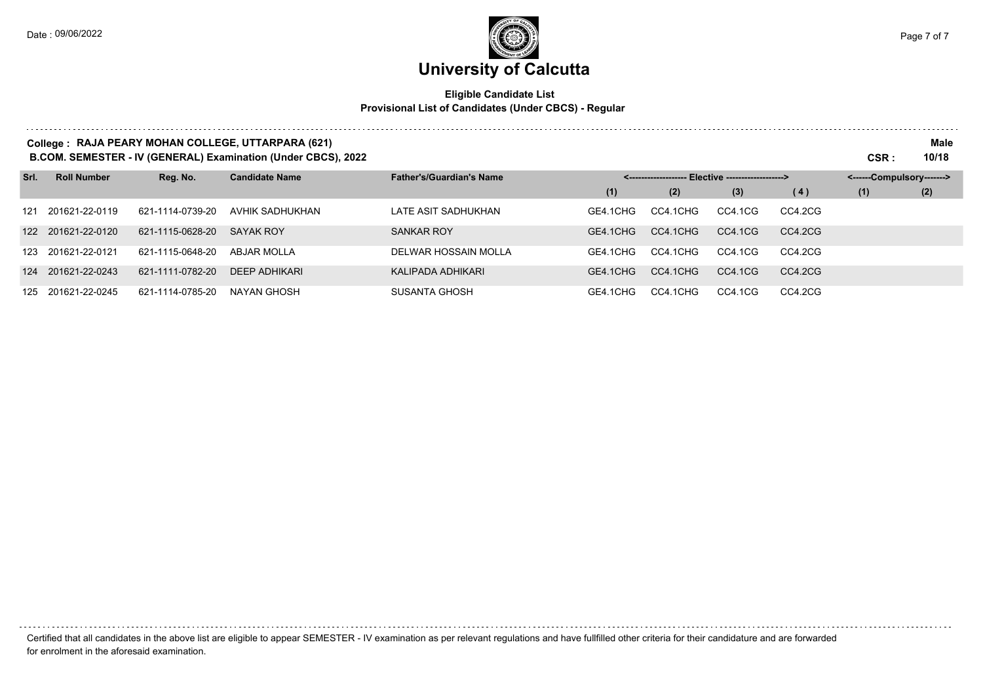. . . . . . . . . . . . .

# **University of Calcutta**

### **Eligible Candidate List Provisional List of Candidates (Under CBCS) - Regular**

| College: RAJA PEARY MOHAN COLLEGE, UTTARPARA (621)<br>B.COM. SEMESTER - IV (GENERAL) Examination (Under CBCS), 2022 |                    |                  |                       |                                 |          |                                 |                           |         | CSR : | Male<br>10/18 |
|---------------------------------------------------------------------------------------------------------------------|--------------------|------------------|-----------------------|---------------------------------|----------|---------------------------------|---------------------------|---------|-------|---------------|
| Srl.                                                                                                                | <b>Roll Number</b> | Reg. No.         | <b>Candidate Name</b> | <b>Father's/Guardian's Name</b> |          | - Elective -------------------> | <------Compulsory-------> |         |       |               |
|                                                                                                                     |                    |                  |                       |                                 | (1)      | (2)                             | (3)                       | (4)     | (1)   | (2)           |
|                                                                                                                     | 121 201621-22-0119 | 621-1114-0739-20 | AVHIK SADHUKHAN       | LATE ASIT SADHUKHAN             | GE4.1CHG | CC4.1CHG                        | CC4.1CG                   | CC4.2CG |       |               |
|                                                                                                                     | 122 201621-22-0120 | 621-1115-0628-20 | SAYAK ROY             | <b>SANKAR ROY</b>               | GE4.1CHG | CC4.1CHG                        | CC4.1CG                   | CC4.2CG |       |               |
|                                                                                                                     | 123 201621-22-0121 | 621-1115-0648-20 | ABJAR MOLLA           | DELWAR HOSSAIN MOLLA            | GE4.1CHG | CC4.1CHG                        | CC4.1CG                   | CC4.2CG |       |               |
| 124                                                                                                                 | 201621-22-0243     | 621-1111-0782-20 | <b>DEEP ADHIKARI</b>  | KALIPADA ADHIKARI               | GE4.1CHG | CC4.1CHG                        | CC4.1CG                   | CC4.2CG |       |               |
|                                                                                                                     | 125 201621-22-0245 | 621-1114-0785-20 | NAYAN GHOSH           | SUSANTA GHOSH                   | GE4.1CHG | CC4.1CHG                        | CC4.1CG                   | CC4.2CG |       |               |

Certified that all candidates in the above list are eligible to appear SEMESTER - IV examination as per relevant regulations and have fullfilled other criteria for their candidature and are forwarded for enrolment in the aforesaid examination.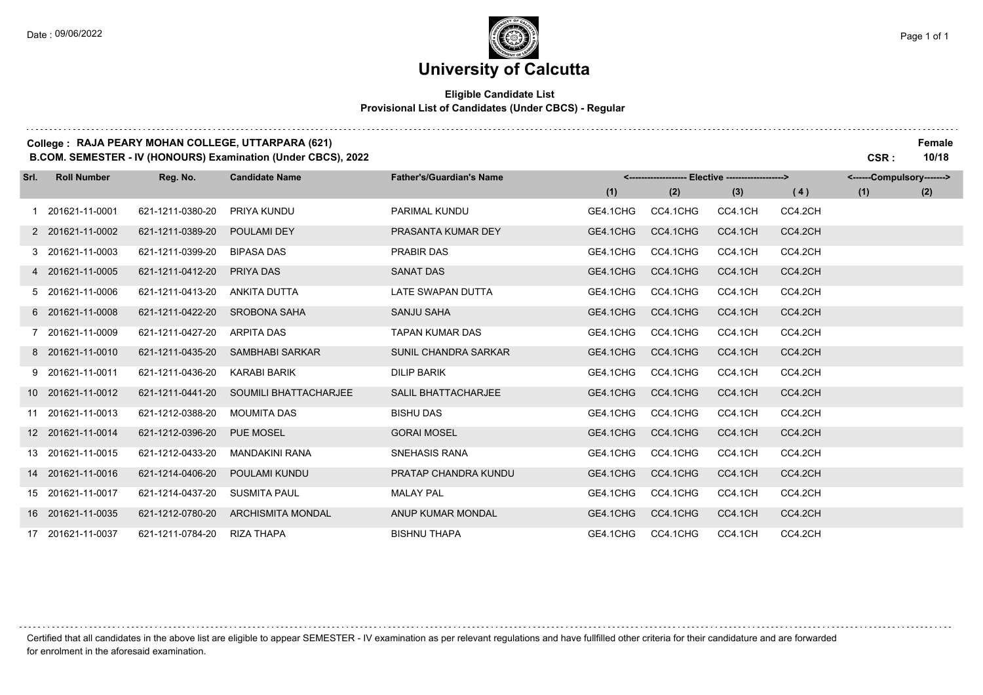. . . . . .

# **University of Calcutta**

### **Eligible Candidate List Provisional List of Candidates (Under CBCS) - Regular**

### **College : RAJA PEARY MOHAN COLLEGE, UTTARPARA (621) Female**

**B.COM. SEMESTER - IV (HONOURS) Examination (Under CBCS), 2022 CSR : 10/18**

| Srl. | <b>Roll Number</b> | Reg. No.         | <b>Candidate Name</b>        | <b>Father's/Guardian's Name</b> |          | <------------------- Elective ------------------> |         |         | <------Compulsory-------> |     |
|------|--------------------|------------------|------------------------------|---------------------------------|----------|---------------------------------------------------|---------|---------|---------------------------|-----|
|      |                    |                  |                              |                                 | (1)      | (2)                                               | (3)     | (4)     | (1)                       | (2) |
|      | 1 201621-11-0001   | 621-1211-0380-20 | PRIYA KUNDU                  | <b>PARIMAL KUNDU</b>            | GE4.1CHG | CC4.1CHG                                          | CC4.1CH | CC4.2CH |                           |     |
|      | 2 201621-11-0002   | 621-1211-0389-20 | <b>POULAMI DEY</b>           | PRASANTA KUMAR DEY              | GE4.1CHG | CC4.1CHG                                          | CC4.1CH | CC4.2CH |                           |     |
|      | 3 201621-11-0003   | 621-1211-0399-20 | <b>BIPASA DAS</b>            | <b>PRABIR DAS</b>               | GE4.1CHG | CC4.1CHG                                          | CC4.1CH | CC4.2CH |                           |     |
|      | 4 201621-11-0005   | 621-1211-0412-20 | PRIYA DAS                    | SANAT DAS                       | GE4.1CHG | CC4.1CHG                                          | CC4.1CH | CC4.2CH |                           |     |
|      | 5 201621-11-0006   | 621-1211-0413-20 | ANKITA DUTTA                 | LATE SWAPAN DUTTA               | GE4.1CHG | CC4.1CHG                                          | CC4.1CH | CC4.2CH |                           |     |
|      | 6 201621-11-0008   | 621-1211-0422-20 | <b>SROBONA SAHA</b>          | <b>SANJU SAHA</b>               | GE4.1CHG | CC4.1CHG                                          | CC4.1CH | CC4.2CH |                           |     |
|      | 7 201621-11-0009   | 621-1211-0427-20 | <b>ARPITA DAS</b>            | TAPAN KUMAR DAS                 | GE4.1CHG | CC4.1CHG                                          | CC4.1CH | CC4.2CH |                           |     |
|      | 8 201621-11-0010   | 621-1211-0435-20 | SAMBHABI SARKAR              | SUNIL CHANDRA SARKAR            | GE4.1CHG | CC4.1CHG                                          | CC4.1CH | CC4.2CH |                           |     |
|      | 9 201621-11-0011   | 621-1211-0436-20 | <b>KARABI BARIK</b>          | <b>DILIP BARIK</b>              | GE4.1CHG | CC4.1CHG                                          | CC4.1CH | CC4.2CH |                           |     |
|      | 10 201621-11-0012  | 621-1211-0441-20 | <b>SOUMILI BHATTACHARJEE</b> | <b>SALIL BHATTACHARJEE</b>      | GE4.1CHG | CC4.1CHG                                          | CC4.1CH | CC4.2CH |                           |     |
|      | 11 201621-11-0013  | 621-1212-0388-20 | <b>MOUMITA DAS</b>           | <b>BISHU DAS</b>                | GE4.1CHG | CC4.1CHG                                          | CC4.1CH | CC4.2CH |                           |     |
|      | 12 201621-11-0014  | 621-1212-0396-20 | <b>PUE MOSEL</b>             | <b>GORAI MOSEL</b>              | GE4.1CHG | CC4.1CHG                                          | CC4.1CH | CC4.2CH |                           |     |
|      | 13 201621-11-0015  | 621-1212-0433-20 | <b>MANDAKINI RANA</b>        | SNEHASIS RANA                   | GE4.1CHG | CC4.1CHG                                          | CC4.1CH | CC4.2CH |                           |     |
|      | 14 201621-11-0016  | 621-1214-0406-20 | POULAMI KUNDU                | PRATAP CHANDRA KUNDU            | GE4.1CHG | CC4.1CHG                                          | CC4.1CH | CC4.2CH |                           |     |
|      | 15 201621-11-0017  | 621-1214-0437-20 | <b>SUSMITA PAUL</b>          | <b>MALAY PAL</b>                | GE4.1CHG | CC4.1CHG                                          | CC4.1CH | CC4.2CH |                           |     |
|      | 16 201621-11-0035  | 621-1212-0780-20 | <b>ARCHISMITA MONDAL</b>     | ANUP KUMAR MONDAL               | GE4.1CHG | CC4.1CHG                                          | CC4.1CH | CC4.2CH |                           |     |
|      | 17 201621-11-0037  | 621-1211-0784-20 | <b>RIZA THAPA</b>            | <b>BISHNU THAPA</b>             | GE4.1CHG | CC4.1CHG                                          | CC4.1CH | CC4.2CH |                           |     |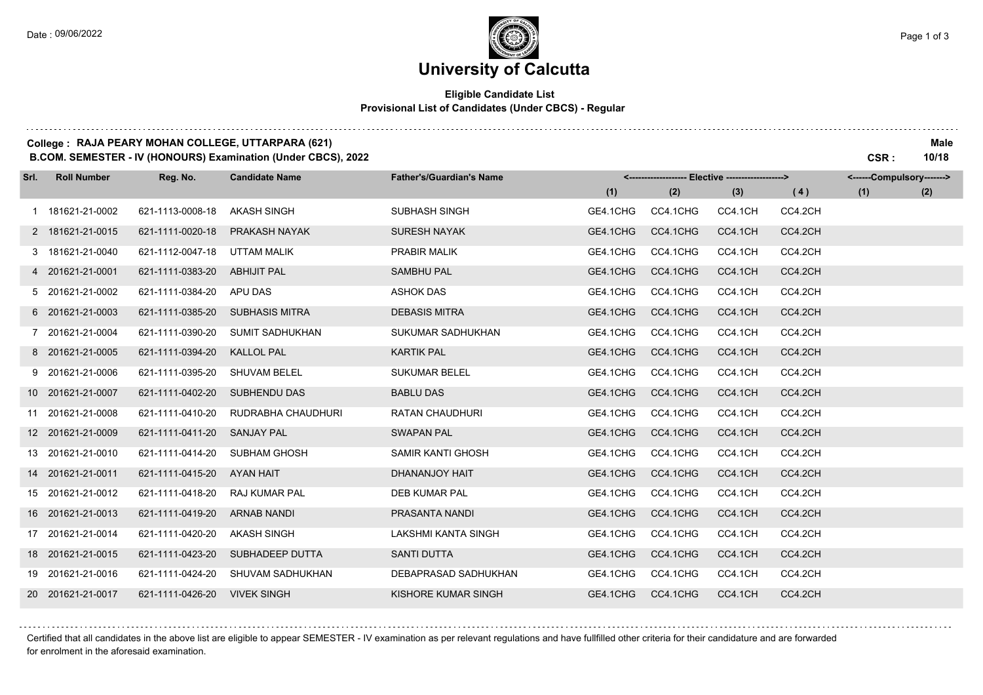### **University of Calcutta**

### **Eligible Candidate List Provisional List of Candidates (Under CBCS) - Regular**

### **College : RAJA PEARY MOHAN COLLEGE, UTTARPARA (621) Male**

**B.COM. SEMESTER - IV (HONOURS) Examination (Under CBCS), 2022 CSR : 10/18**

| Srl. | <b>Roll Number</b> | Reg. No.         | <b>Candidate Name</b>  | <b>Father's/Guardian's Name</b> |          | <-------------------- Elective -------------------> |         |         | <------Compulsory-------> |     |
|------|--------------------|------------------|------------------------|---------------------------------|----------|-----------------------------------------------------|---------|---------|---------------------------|-----|
|      |                    |                  |                        |                                 | (1)      | (2)                                                 | (3)     | (4)     | (1)                       | (2) |
|      | 1 181621-21-0002   | 621-1113-0008-18 | <b>AKASH SINGH</b>     | <b>SUBHASH SINGH</b>            | GE4.1CHG | CC4.1CHG                                            | CC4.1CH | CC4.2CH |                           |     |
|      | 2 181621-21-0015   | 621-1111-0020-18 | PRAKASH NAYAK          | <b>SURESH NAYAK</b>             | GE4.1CHG | CC4.1CHG                                            | CC4.1CH | CC4.2CH |                           |     |
|      | 3 181621-21-0040   | 621-1112-0047-18 | <b>UTTAM MALIK</b>     | PRABIR MALIK                    | GE4.1CHG | CC4.1CHG                                            | CC4.1CH | CC4.2CH |                           |     |
|      | 4 201621-21-0001   | 621-1111-0383-20 | <b>ABHIJIT PAL</b>     | <b>SAMBHU PAL</b>               | GE4.1CHG | CC4.1CHG                                            | CC4.1CH | CC4.2CH |                           |     |
|      | 5 201621-21-0002   | 621-1111-0384-20 | APU DAS                | <b>ASHOK DAS</b>                | GE4.1CHG | CC4.1CHG                                            | CC4.1CH | CC4.2CH |                           |     |
|      | 6 201621-21-0003   | 621-1111-0385-20 | <b>SUBHASIS MITRA</b>  | <b>DEBASIS MITRA</b>            | GE4.1CHG | CC4.1CHG                                            | CC4.1CH | CC4.2CH |                           |     |
|      | 7 201621-21-0004   | 621-1111-0390-20 | <b>SUMIT SADHUKHAN</b> | SUKUMAR SADHUKHAN               | GE4.1CHG | CC4.1CHG                                            | CC4.1CH | CC4.2CH |                           |     |
|      | 8 201621-21-0005   | 621-1111-0394-20 | <b>KALLOL PAL</b>      | <b>KARTIK PAL</b>               | GE4.1CHG | CC4.1CHG                                            | CC4.1CH | CC4.2CH |                           |     |
|      | 9 201621-21-0006   | 621-1111-0395-20 | <b>SHUVAM BELEL</b>    | <b>SUKUMAR BELEL</b>            | GE4.1CHG | CC4.1CHG                                            | CC4.1CH | CC4.2CH |                           |     |
|      | 10 201621-21-0007  | 621-1111-0402-20 | <b>SUBHENDU DAS</b>    | <b>BABLU DAS</b>                | GE4.1CHG | CC4.1CHG                                            | CC4.1CH | CC4.2CH |                           |     |
|      | 11 201621-21-0008  | 621-1111-0410-20 | RUDRABHA CHAUDHURI     | <b>RATAN CHAUDHURI</b>          | GE4.1CHG | CC4.1CHG                                            | CC4.1CH | CC4.2CH |                           |     |
|      | 12 201621-21-0009  | 621-1111-0411-20 | <b>SANJAY PAL</b>      | <b>SWAPAN PAL</b>               | GE4.1CHG | CC4.1CHG                                            | CC4.1CH | CC4.2CH |                           |     |
|      | 13 201621-21-0010  | 621-1111-0414-20 | <b>SUBHAM GHOSH</b>    | <b>SAMIR KANTI GHOSH</b>        | GE4.1CHG | CC4.1CHG                                            | CC4.1CH | CC4.2CH |                           |     |
|      | 14 201621-21-0011  | 621-1111-0415-20 | <b>AYAN HAIT</b>       | DHANANJOY HAIT                  | GE4.1CHG | CC4.1CHG                                            | CC4.1CH | CC4.2CH |                           |     |
|      | 15 201621-21-0012  | 621-1111-0418-20 | RAJ KUMAR PAL          | <b>DEB KUMAR PAL</b>            | GE4.1CHG | CC4.1CHG                                            | CC4.1CH | CC4.2CH |                           |     |
|      | 16 201621-21-0013  | 621-1111-0419-20 | <b>ARNAB NANDI</b>     | PRASANTA NANDI                  | GE4.1CHG | CC4.1CHG                                            | CC4.1CH | CC4.2CH |                           |     |
|      | 17 201621-21-0014  | 621-1111-0420-20 | <b>AKASH SINGH</b>     | LAKSHMI KANTA SINGH             | GE4.1CHG | CC4.1CHG                                            | CC4.1CH | CC4.2CH |                           |     |
|      | 18 201621-21-0015  | 621-1111-0423-20 | SUBHADEEP DUTTA        | <b>SANTI DUTTA</b>              | GE4.1CHG | CC4.1CHG                                            | CC4.1CH | CC4.2CH |                           |     |
|      | 19 201621-21-0016  | 621-1111-0424-20 | SHUVAM SADHUKHAN       | DEBAPRASAD SADHUKHAN            | GE4.1CHG | CC4.1CHG                                            | CC4.1CH | CC4.2CH |                           |     |
|      | 20 201621-21-0017  | 621-1111-0426-20 | <b>VIVEK SINGH</b>     | KISHORE KUMAR SINGH             | GE4.1CHG | CC4.1CHG                                            | CC4.1CH | CC4.2CH |                           |     |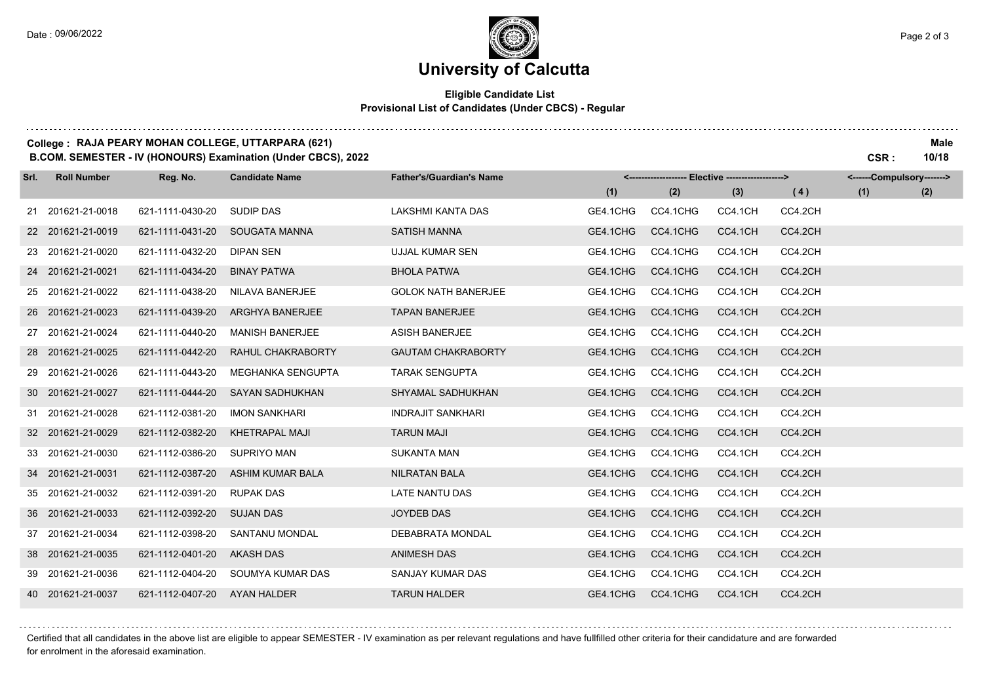### **University of Calcutta**

#### **Eligible Candidate List Provisional List of Candidates (Under CBCS) - Regular**

### **College : RAJA PEARY MOHAN COLLEGE, UTTARPARA (621) Male**

**B.COM. SEMESTER - IV (HONOURS) Examination (Under CBCS), 2022 CSR : 10/18**

| Srl. | <b>Roll Number</b> | Reg. No.         | <b>Candidate Name</b>  | <b>Father's/Guardian's Name</b> |          | <-------------------- Elective -------------------> |         |         | <------Compulsory-------> |     |
|------|--------------------|------------------|------------------------|---------------------------------|----------|-----------------------------------------------------|---------|---------|---------------------------|-----|
|      |                    |                  |                        |                                 | (1)      | (2)                                                 | (3)     | (4)     | (1)                       | (2) |
|      | 21 201621-21-0018  | 621-1111-0430-20 | <b>SUDIP DAS</b>       | LAKSHMI KANTA DAS               | GE4.1CHG | CC4.1CHG                                            | CC4.1CH | CC4.2CH |                           |     |
|      | 22 201621-21-0019  | 621-1111-0431-20 | SOUGATA MANNA          | <b>SATISH MANNA</b>             | GE4.1CHG | CC4.1CHG                                            | CC4.1CH | CC4.2CH |                           |     |
|      | 23 201621-21-0020  | 621-1111-0432-20 | DIPAN SEN              | UJJAL KUMAR SEN                 | GE4.1CHG | CC4.1CHG                                            | CC4.1CH | CC4.2CH |                           |     |
|      | 24 201621-21-0021  | 621-1111-0434-20 | <b>BINAY PATWA</b>     | <b>BHOLA PATWA</b>              | GE4.1CHG | CC4.1CHG                                            | CC4.1CH | CC4.2CH |                           |     |
|      | 25 201621-21-0022  | 621-1111-0438-20 | <b>NILAVA BANERJEE</b> | <b>GOLOK NATH BANERJEE</b>      | GE4.1CHG | CC4.1CHG                                            | CC4.1CH | CC4.2CH |                           |     |
|      | 26 201621-21-0023  | 621-1111-0439-20 | <b>ARGHYA BANERJEE</b> | <b>TAPAN BANERJEE</b>           | GE4.1CHG | CC4.1CHG                                            | CC4.1CH | CC4.2CH |                           |     |
|      | 27 201621-21-0024  | 621-1111-0440-20 | <b>MANISH BANERJEE</b> | <b>ASISH BANERJEE</b>           | GE4.1CHG | CC4.1CHG                                            | CC4.1CH | CC4.2CH |                           |     |
|      | 28 201621-21-0025  | 621-1111-0442-20 | RAHUL CHAKRABORTY      | <b>GAUTAM CHAKRABORTY</b>       | GE4.1CHG | CC4.1CHG                                            | CC4.1CH | CC4.2CH |                           |     |
|      | 29 201621-21-0026  | 621-1111-0443-20 | MEGHANKA SENGUPTA      | <b>TARAK SENGUPTA</b>           | GE4.1CHG | CC4.1CHG                                            | CC4.1CH | CC4.2CH |                           |     |
|      | 30 201621-21-0027  | 621-1111-0444-20 | <b>SAYAN SADHUKHAN</b> | SHYAMAL SADHUKHAN               | GE4.1CHG | CC4.1CHG                                            | CC4.1CH | CC4.2CH |                           |     |
|      | 31 201621-21-0028  | 621-1112-0381-20 | <b>IMON SANKHARI</b>   | <b>INDRAJIT SANKHARI</b>        | GE4.1CHG | CC4.1CHG                                            | CC4.1CH | CC4.2CH |                           |     |
|      | 32 201621-21-0029  | 621-1112-0382-20 | <b>KHETRAPAL MAJI</b>  | <b>TARUN MAJI</b>               | GE4.1CHG | CC4.1CHG                                            | CC4.1CH | CC4.2CH |                           |     |
|      | 33 201621-21-0030  | 621-1112-0386-20 | <b>SUPRIYO MAN</b>     | <b>SUKANTA MAN</b>              | GE4.1CHG | CC4.1CHG                                            | CC4.1CH | CC4.2CH |                           |     |
|      | 34 201621-21-0031  | 621-1112-0387-20 | ASHIM KUMAR BALA       | <b>NILRATAN BALA</b>            | GE4.1CHG | CC4.1CHG                                            | CC4.1CH | CC4.2CH |                           |     |
|      | 35 201621-21-0032  | 621-1112-0391-20 | <b>RUPAK DAS</b>       | <b>LATE NANTU DAS</b>           | GE4.1CHG | CC4.1CHG                                            | CC4.1CH | CC4.2CH |                           |     |
|      | 36 201621-21-0033  | 621-1112-0392-20 | <b>SUJAN DAS</b>       | <b>JOYDEB DAS</b>               | GE4.1CHG | CC4.1CHG                                            | CC4.1CH | CC4.2CH |                           |     |
|      | 37 201621-21-0034  | 621-1112-0398-20 | SANTANU MONDAL         | <b>DEBABRATA MONDAL</b>         | GE4.1CHG | CC4.1CHG                                            | CC4.1CH | CC4.2CH |                           |     |
|      | 38 201621-21-0035  | 621-1112-0401-20 | <b>AKASH DAS</b>       | <b>ANIMESH DAS</b>              | GE4.1CHG | CC4.1CHG                                            | CC4.1CH | CC4.2CH |                           |     |
|      | 39 201621-21-0036  | 621-1112-0404-20 | SOUMYA KUMAR DAS       | SANJAY KUMAR DAS                | GE4.1CHG | CC4.1CHG                                            | CC4.1CH | CC4.2CH |                           |     |
|      | 40 201621-21-0037  | 621-1112-0407-20 | AYAN HALDER            | <b>TARUN HALDER</b>             | GE4.1CHG | CC4.1CHG                                            | CC4.1CH | CC4.2CH |                           |     |

Certified that all candidates in the above list are eligible to appear SEMESTER - IV examination as per relevant regulations and have fullfilled other criteria for their candidature and are forwarded for enrolment in the aforesaid examination.